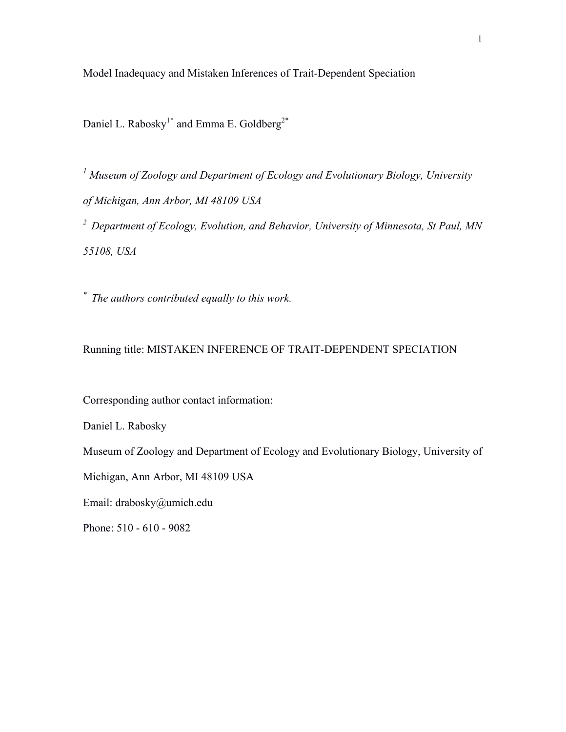Model Inadequacy and Mistaken Inferences of Trait-Dependent Speciation

Daniel L. Rabosky<sup>1\*</sup> and Emma E. Goldberg<sup>2\*</sup>

*<sup>1</sup> Museum of Zoology and Department of Ecology and Evolutionary Biology, University of Michigan, Ann Arbor, MI 48109 USA 2 Department of Ecology, Evolution, and Behavior, University of Minnesota, St Paul, MN* 

*55108, USA*

*\* The authors contributed equally to this work.*

Running title: MISTAKEN INFERENCE OF TRAIT-DEPENDENT SPECIATION

Corresponding author contact information:

Daniel L. Rabosky

Museum of Zoology and Department of Ecology and Evolutionary Biology, University of

Michigan, Ann Arbor, MI 48109 USA

Email: drabosky@umich.edu

Phone: 510 - 610 - 9082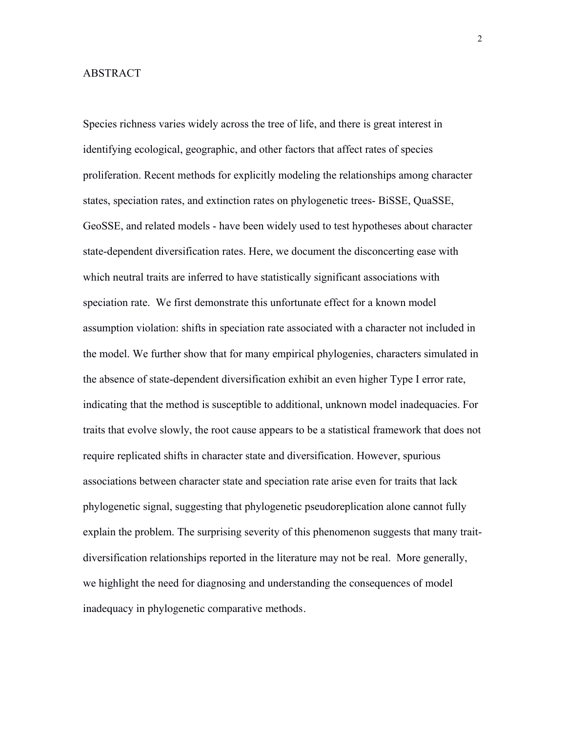# ABSTRACT

Species richness varies widely across the tree of life, and there is great interest in identifying ecological, geographic, and other factors that affect rates of species proliferation. Recent methods for explicitly modeling the relationships among character states, speciation rates, and extinction rates on phylogenetic trees- BiSSE, QuaSSE, GeoSSE, and related models - have been widely used to test hypotheses about character state-dependent diversification rates. Here, we document the disconcerting ease with which neutral traits are inferred to have statistically significant associations with speciation rate. We first demonstrate this unfortunate effect for a known model assumption violation: shifts in speciation rate associated with a character not included in the model. We further show that for many empirical phylogenies, characters simulated in the absence of state-dependent diversification exhibit an even higher Type I error rate, indicating that the method is susceptible to additional, unknown model inadequacies. For traits that evolve slowly, the root cause appears to be a statistical framework that does not require replicated shifts in character state and diversification. However, spurious associations between character state and speciation rate arise even for traits that lack phylogenetic signal, suggesting that phylogenetic pseudoreplication alone cannot fully explain the problem. The surprising severity of this phenomenon suggests that many traitdiversification relationships reported in the literature may not be real. More generally, we highlight the need for diagnosing and understanding the consequences of model inadequacy in phylogenetic comparative methods.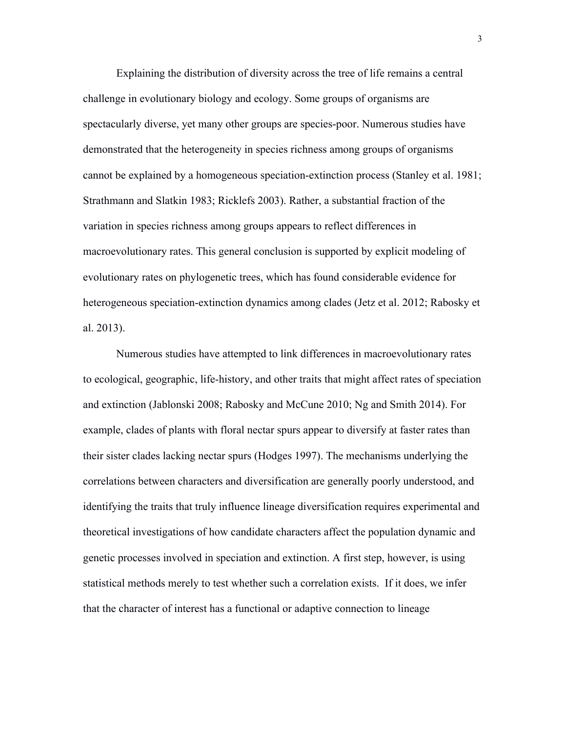Explaining the distribution of diversity across the tree of life remains a central challenge in evolutionary biology and ecology. Some groups of organisms are spectacularly diverse, yet many other groups are species-poor. Numerous studies have demonstrated that the heterogeneity in species richness among groups of organisms cannot be explained by a homogeneous speciation-extinction process (Stanley et al. 1981; Strathmann and Slatkin 1983; Ricklefs 2003). Rather, a substantial fraction of the variation in species richness among groups appears to reflect differences in macroevolutionary rates. This general conclusion is supported by explicit modeling of evolutionary rates on phylogenetic trees, which has found considerable evidence for heterogeneous speciation-extinction dynamics among clades (Jetz et al. 2012; Rabosky et al. 2013).

Numerous studies have attempted to link differences in macroevolutionary rates to ecological, geographic, life-history, and other traits that might affect rates of speciation and extinction (Jablonski 2008; Rabosky and McCune 2010; Ng and Smith 2014). For example, clades of plants with floral nectar spurs appear to diversify at faster rates than their sister clades lacking nectar spurs (Hodges 1997). The mechanisms underlying the correlations between characters and diversification are generally poorly understood, and identifying the traits that truly influence lineage diversification requires experimental and theoretical investigations of how candidate characters affect the population dynamic and genetic processes involved in speciation and extinction. A first step, however, is using statistical methods merely to test whether such a correlation exists. If it does, we infer that the character of interest has a functional or adaptive connection to lineage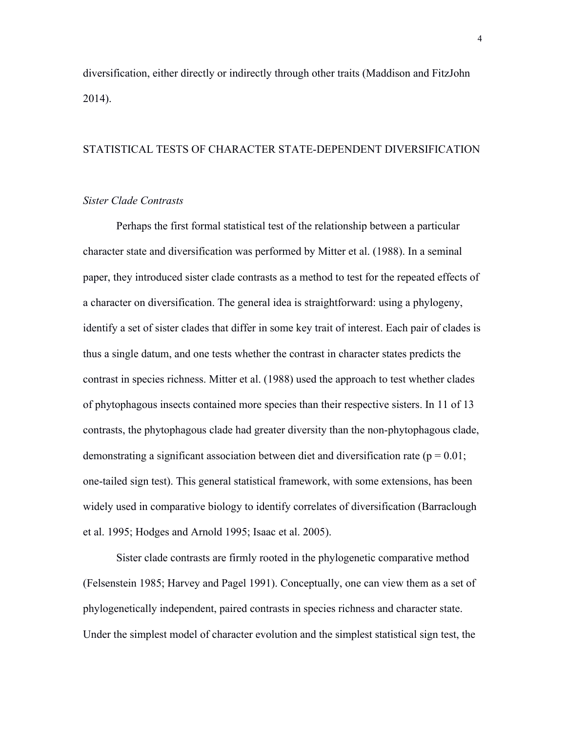diversification, either directly or indirectly through other traits (Maddison and FitzJohn 2014).

# STATISTICAL TESTS OF CHARACTER STATE-DEPENDENT DIVERSIFICATION

# *Sister Clade Contrasts*

Perhaps the first formal statistical test of the relationship between a particular character state and diversification was performed by Mitter et al. (1988). In a seminal paper, they introduced sister clade contrasts as a method to test for the repeated effects of a character on diversification. The general idea is straightforward: using a phylogeny, identify a set of sister clades that differ in some key trait of interest. Each pair of clades is thus a single datum, and one tests whether the contrast in character states predicts the contrast in species richness. Mitter et al. (1988) used the approach to test whether clades of phytophagous insects contained more species than their respective sisters. In 11 of 13 contrasts, the phytophagous clade had greater diversity than the non-phytophagous clade, demonstrating a significant association between diet and diversification rate ( $p = 0.01$ ; one-tailed sign test). This general statistical framework, with some extensions, has been widely used in comparative biology to identify correlates of diversification (Barraclough et al. 1995; Hodges and Arnold 1995; Isaac et al. 2005).

Sister clade contrasts are firmly rooted in the phylogenetic comparative method (Felsenstein 1985; Harvey and Pagel 1991). Conceptually, one can view them as a set of phylogenetically independent, paired contrasts in species richness and character state. Under the simplest model of character evolution and the simplest statistical sign test, the

4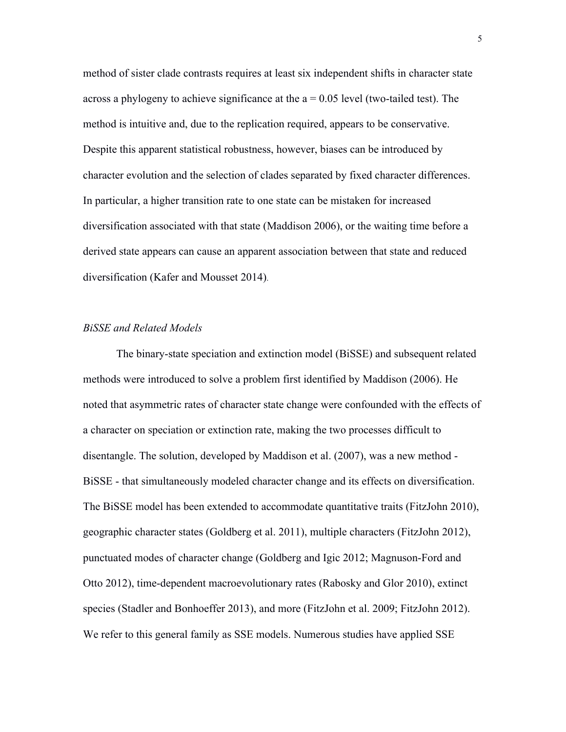method of sister clade contrasts requires at least six independent shifts in character state across a phylogeny to achieve significance at the  $a = 0.05$  level (two-tailed test). The method is intuitive and, due to the replication required, appears to be conservative. Despite this apparent statistical robustness, however, biases can be introduced by character evolution and the selection of clades separated by fixed character differences. In particular, a higher transition rate to one state can be mistaken for increased diversification associated with that state (Maddison 2006), or the waiting time before a derived state appears can cause an apparent association between that state and reduced diversification (Kafer and Mousset 2014).

## *BiSSE and Related Models*

The binary-state speciation and extinction model (BiSSE) and subsequent related methods were introduced to solve a problem first identified by Maddison (2006). He noted that asymmetric rates of character state change were confounded with the effects of a character on speciation or extinction rate, making the two processes difficult to disentangle. The solution, developed by Maddison et al. (2007), was a new method - BiSSE - that simultaneously modeled character change and its effects on diversification. The BiSSE model has been extended to accommodate quantitative traits (FitzJohn 2010), geographic character states (Goldberg et al. 2011), multiple characters (FitzJohn 2012), punctuated modes of character change (Goldberg and Igic 2012; Magnuson-Ford and Otto 2012), time-dependent macroevolutionary rates (Rabosky and Glor 2010), extinct species (Stadler and Bonhoeffer 2013), and more (FitzJohn et al. 2009; FitzJohn 2012). We refer to this general family as SSE models. Numerous studies have applied SSE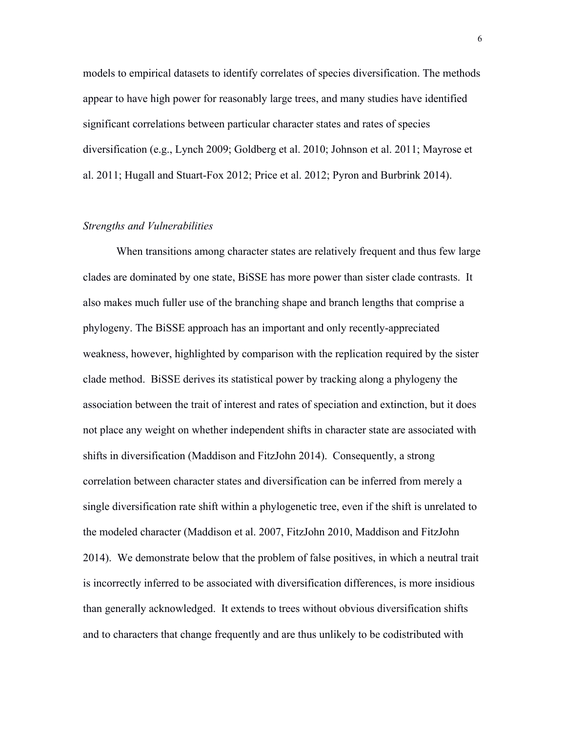models to empirical datasets to identify correlates of species diversification. The methods appear to have high power for reasonably large trees, and many studies have identified significant correlations between particular character states and rates of species diversification (e.g., Lynch 2009; Goldberg et al. 2010; Johnson et al. 2011; Mayrose et al. 2011; Hugall and Stuart-Fox 2012; Price et al. 2012; Pyron and Burbrink 2014).

# *Strengths and Vulnerabilities*

When transitions among character states are relatively frequent and thus few large clades are dominated by one state, BiSSE has more power than sister clade contrasts. It also makes much fuller use of the branching shape and branch lengths that comprise a phylogeny. The BiSSE approach has an important and only recently-appreciated weakness, however, highlighted by comparison with the replication required by the sister clade method. BiSSE derives its statistical power by tracking along a phylogeny the association between the trait of interest and rates of speciation and extinction, but it does not place any weight on whether independent shifts in character state are associated with shifts in diversification (Maddison and FitzJohn 2014). Consequently, a strong correlation between character states and diversification can be inferred from merely a single diversification rate shift within a phylogenetic tree, even if the shift is unrelated to the modeled character (Maddison et al. 2007, FitzJohn 2010, Maddison and FitzJohn 2014). We demonstrate below that the problem of false positives, in which a neutral trait is incorrectly inferred to be associated with diversification differences, is more insidious than generally acknowledged. It extends to trees without obvious diversification shifts and to characters that change frequently and are thus unlikely to be codistributed with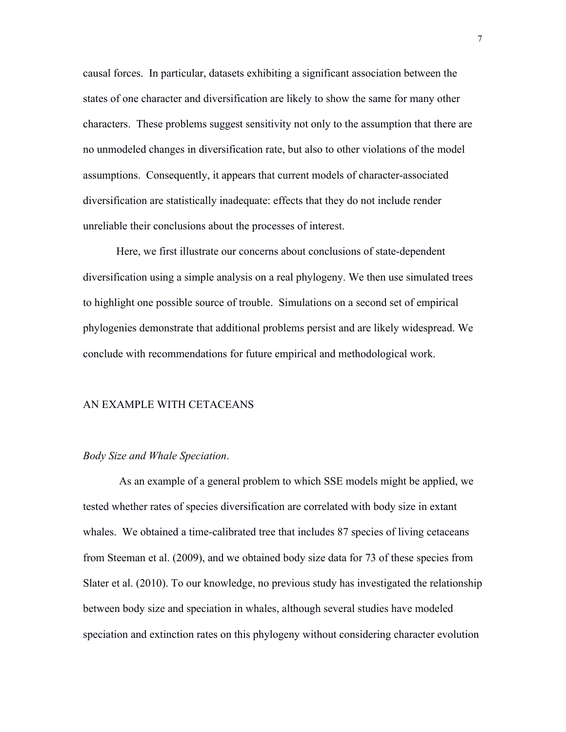causal forces. In particular, datasets exhibiting a significant association between the states of one character and diversification are likely to show the same for many other characters. These problems suggest sensitivity not only to the assumption that there are no unmodeled changes in diversification rate, but also to other violations of the model assumptions. Consequently, it appears that current models of character-associated diversification are statistically inadequate: effects that they do not include render unreliable their conclusions about the processes of interest.

Here, we first illustrate our concerns about conclusions of state-dependent diversification using a simple analysis on a real phylogeny. We then use simulated trees to highlight one possible source of trouble. Simulations on a second set of empirical phylogenies demonstrate that additional problems persist and are likely widespread. We conclude with recommendations for future empirical and methodological work.

#### AN EXAMPLE WITH CETACEANS

## *Body Size and Whale Speciation*.

As an example of a general problem to which SSE models might be applied, we tested whether rates of species diversification are correlated with body size in extant whales. We obtained a time-calibrated tree that includes 87 species of living cetaceans from Steeman et al. (2009), and we obtained body size data for 73 of these species from Slater et al. (2010). To our knowledge, no previous study has investigated the relationship between body size and speciation in whales, although several studies have modeled speciation and extinction rates on this phylogeny without considering character evolution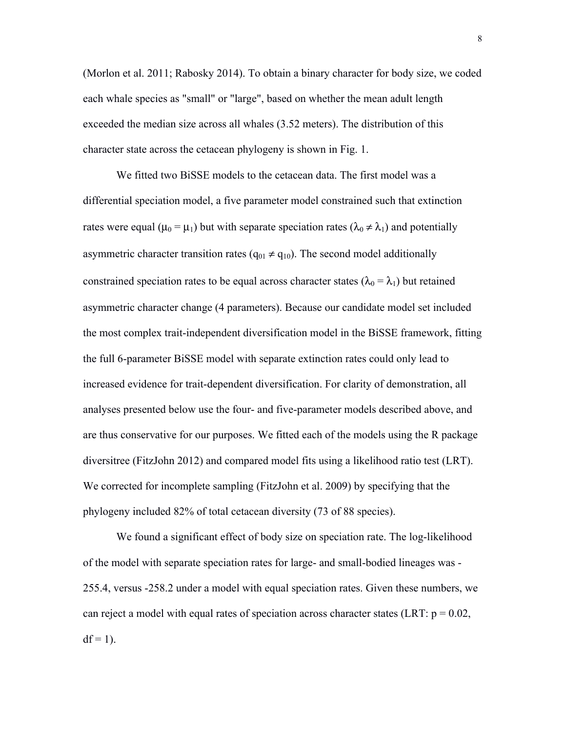(Morlon et al. 2011; Rabosky 2014). To obtain a binary character for body size, we coded each whale species as "small" or "large", based on whether the mean adult length exceeded the median size across all whales (3.52 meters). The distribution of this character state across the cetacean phylogeny is shown in Fig. 1.

We fitted two BiSSE models to the cetacean data. The first model was a differential speciation model, a five parameter model constrained such that extinction rates were equal ( $\mu_0 = \mu_1$ ) but with separate speciation rates ( $\lambda_0 \neq \lambda_1$ ) and potentially asymmetric character transition rates ( $q_{01} \neq q_{10}$ ). The second model additionally constrained speciation rates to be equal across character states ( $\lambda_0 = \lambda_1$ ) but retained asymmetric character change (4 parameters). Because our candidate model set included the most complex trait-independent diversification model in the BiSSE framework, fitting the full 6-parameter BiSSE model with separate extinction rates could only lead to increased evidence for trait-dependent diversification. For clarity of demonstration, all analyses presented below use the four- and five-parameter models described above, and are thus conservative for our purposes. We fitted each of the models using the R package diversitree (FitzJohn 2012) and compared model fits using a likelihood ratio test (LRT). We corrected for incomplete sampling (FitzJohn et al. 2009) by specifying that the phylogeny included 82% of total cetacean diversity (73 of 88 species).

We found a significant effect of body size on speciation rate. The log-likelihood of the model with separate speciation rates for large- and small-bodied lineages was - 255.4, versus -258.2 under a model with equal speciation rates. Given these numbers, we can reject a model with equal rates of speciation across character states (LRT:  $p = 0.02$ ,  $df = 1$ ).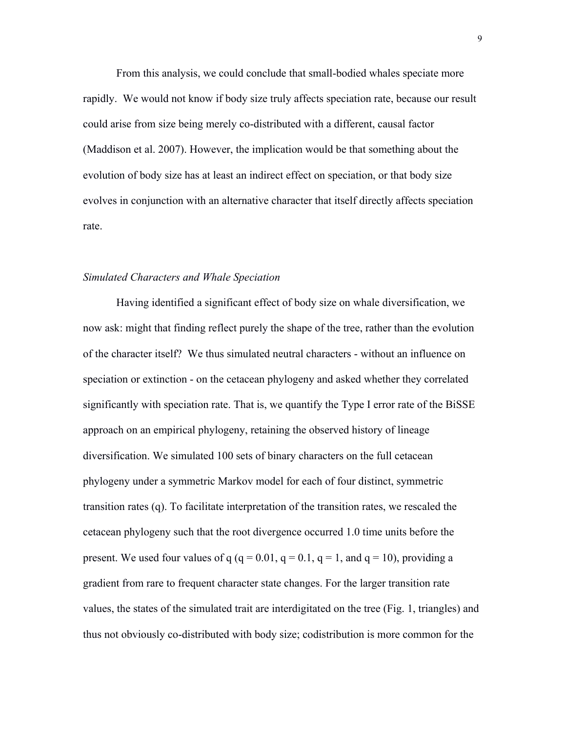From this analysis, we could conclude that small-bodied whales speciate more rapidly. We would not know if body size truly affects speciation rate, because our result could arise from size being merely co-distributed with a different, causal factor (Maddison et al. 2007). However, the implication would be that something about the evolution of body size has at least an indirect effect on speciation, or that body size evolves in conjunction with an alternative character that itself directly affects speciation rate.

# *Simulated Characters and Whale Speciation*

Having identified a significant effect of body size on whale diversification, we now ask: might that finding reflect purely the shape of the tree, rather than the evolution of the character itself? We thus simulated neutral characters - without an influence on speciation or extinction - on the cetacean phylogeny and asked whether they correlated significantly with speciation rate. That is, we quantify the Type I error rate of the BiSSE approach on an empirical phylogeny, retaining the observed history of lineage diversification. We simulated 100 sets of binary characters on the full cetacean phylogeny under a symmetric Markov model for each of four distinct, symmetric transition rates (q). To facilitate interpretation of the transition rates, we rescaled the cetacean phylogeny such that the root divergence occurred 1.0 time units before the present. We used four values of q (q = 0.01, q = 0.1, q = 1, and q = 10), providing a gradient from rare to frequent character state changes. For the larger transition rate values, the states of the simulated trait are interdigitated on the tree (Fig. 1, triangles) and thus not obviously co-distributed with body size; codistribution is more common for the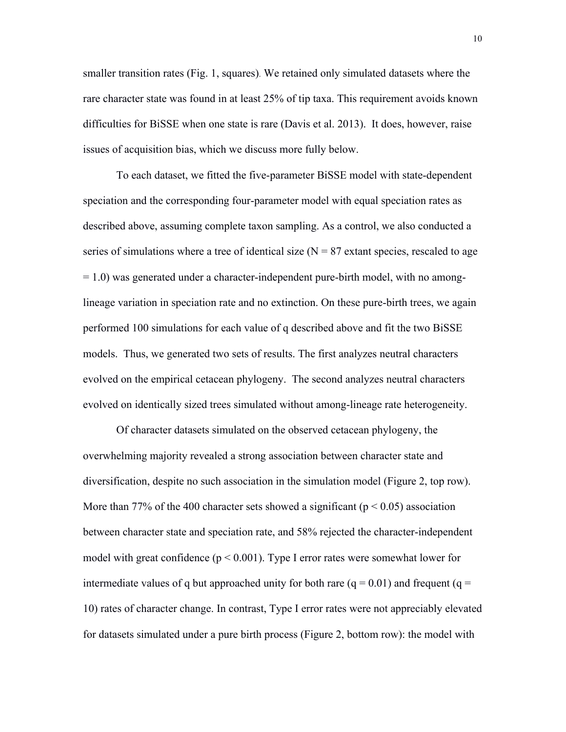smaller transition rates (Fig. 1, squares). We retained only simulated datasets where the rare character state was found in at least 25% of tip taxa. This requirement avoids known difficulties for BiSSE when one state is rare (Davis et al. 2013). It does, however, raise issues of acquisition bias, which we discuss more fully below.

To each dataset, we fitted the five-parameter BiSSE model with state-dependent speciation and the corresponding four-parameter model with equal speciation rates as described above, assuming complete taxon sampling. As a control, we also conducted a series of simulations where a tree of identical size  $(N = 87 \text{ extant species}, \text{rescaled to age})$ = 1.0) was generated under a character-independent pure-birth model, with no amonglineage variation in speciation rate and no extinction. On these pure-birth trees, we again performed 100 simulations for each value of q described above and fit the two BiSSE models. Thus, we generated two sets of results. The first analyzes neutral characters evolved on the empirical cetacean phylogeny. The second analyzes neutral characters evolved on identically sized trees simulated without among-lineage rate heterogeneity.

Of character datasets simulated on the observed cetacean phylogeny, the overwhelming majority revealed a strong association between character state and diversification, despite no such association in the simulation model (Figure 2, top row). More than 77% of the 400 character sets showed a significant ( $p < 0.05$ ) association between character state and speciation rate, and 58% rejected the character-independent model with great confidence  $(p < 0.001)$ . Type I error rates were somewhat lower for intermediate values of q but approached unity for both rare  $(q = 0.01)$  and frequent  $(q =$ 10) rates of character change. In contrast, Type I error rates were not appreciably elevated for datasets simulated under a pure birth process (Figure 2, bottom row): the model with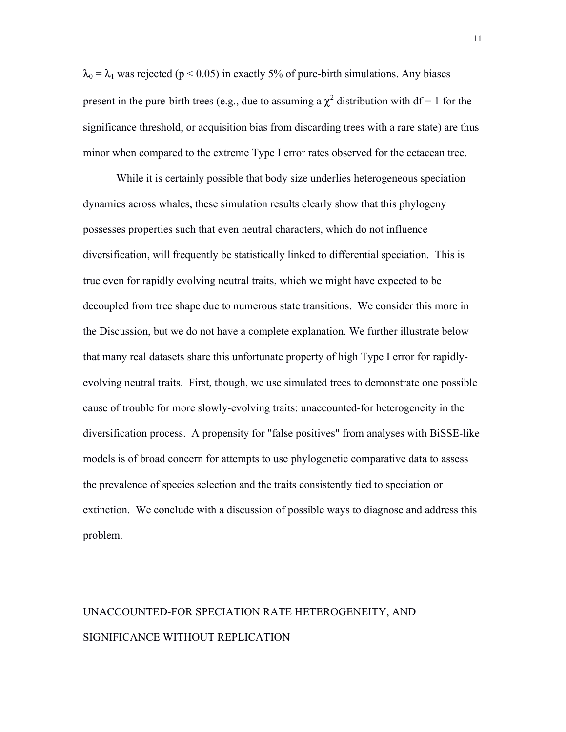$\lambda_0 = \lambda_1$  was rejected (p < 0.05) in exactly 5% of pure-birth simulations. Any biases present in the pure-birth trees (e.g., due to assuming a  $\chi^2$  distribution with df = 1 for the significance threshold, or acquisition bias from discarding trees with a rare state) are thus minor when compared to the extreme Type I error rates observed for the cetacean tree.

While it is certainly possible that body size underlies heterogeneous speciation dynamics across whales, these simulation results clearly show that this phylogeny possesses properties such that even neutral characters, which do not influence diversification, will frequently be statistically linked to differential speciation. This is true even for rapidly evolving neutral traits, which we might have expected to be decoupled from tree shape due to numerous state transitions. We consider this more in the Discussion, but we do not have a complete explanation. We further illustrate below that many real datasets share this unfortunate property of high Type I error for rapidlyevolving neutral traits. First, though, we use simulated trees to demonstrate one possible cause of trouble for more slowly-evolving traits: unaccounted-for heterogeneity in the diversification process. A propensity for "false positives" from analyses with BiSSE-like models is of broad concern for attempts to use phylogenetic comparative data to assess the prevalence of species selection and the traits consistently tied to speciation or extinction. We conclude with a discussion of possible ways to diagnose and address this problem.

# UNACCOUNTED-FOR SPECIATION RATE HETEROGENEITY, AND SIGNIFICANCE WITHOUT REPLICATION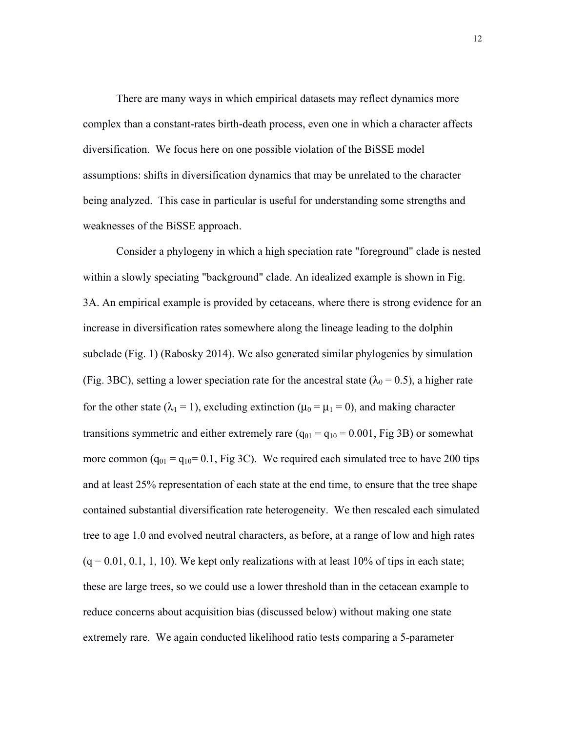There are many ways in which empirical datasets may reflect dynamics more complex than a constant-rates birth-death process, even one in which a character affects diversification. We focus here on one possible violation of the BiSSE model assumptions: shifts in diversification dynamics that may be unrelated to the character being analyzed. This case in particular is useful for understanding some strengths and weaknesses of the BiSSE approach.

Consider a phylogeny in which a high speciation rate "foreground" clade is nested within a slowly speciating "background" clade. An idealized example is shown in Fig. 3A. An empirical example is provided by cetaceans, where there is strong evidence for an increase in diversification rates somewhere along the lineage leading to the dolphin subclade (Fig. 1) (Rabosky 2014). We also generated similar phylogenies by simulation (Fig. 3BC), setting a lower speciation rate for the ancestral state ( $\lambda_0 = 0.5$ ), a higher rate for the other state ( $\lambda_1 = 1$ ), excluding extinction ( $\mu_0 = \mu_1 = 0$ ), and making character transitions symmetric and either extremely rare  $(q_{01} = q_{10} = 0.001$ , Fig 3B) or somewhat more common  $(q_{01} = q_{10} = 0.1$ , Fig 3C). We required each simulated tree to have 200 tips and at least 25% representation of each state at the end time, to ensure that the tree shape contained substantial diversification rate heterogeneity. We then rescaled each simulated tree to age 1.0 and evolved neutral characters, as before, at a range of low and high rates  $(q = 0.01, 0.1, 1, 10)$ . We kept only realizations with at least 10% of tips in each state; these are large trees, so we could use a lower threshold than in the cetacean example to reduce concerns about acquisition bias (discussed below) without making one state extremely rare. We again conducted likelihood ratio tests comparing a 5-parameter

12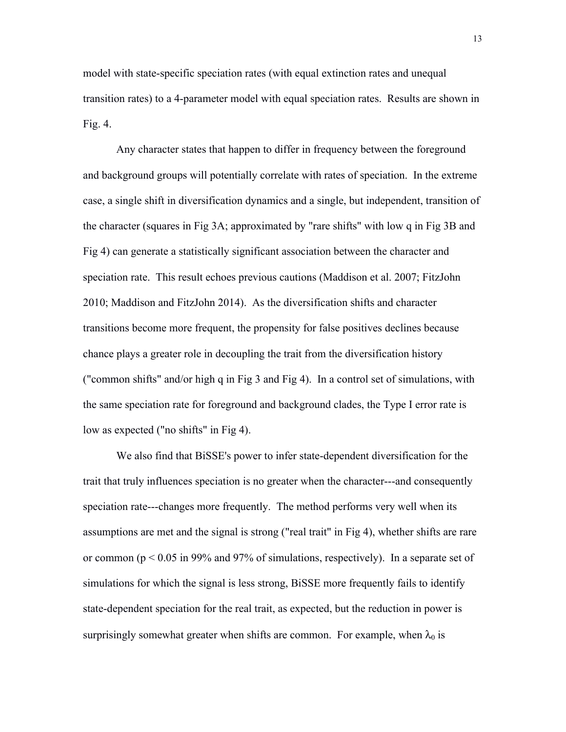model with state-specific speciation rates (with equal extinction rates and unequal transition rates) to a 4-parameter model with equal speciation rates. Results are shown in Fig. 4.

Any character states that happen to differ in frequency between the foreground and background groups will potentially correlate with rates of speciation. In the extreme case, a single shift in diversification dynamics and a single, but independent, transition of the character (squares in Fig 3A; approximated by "rare shifts" with low q in Fig 3B and Fig 4) can generate a statistically significant association between the character and speciation rate. This result echoes previous cautions (Maddison et al. 2007; FitzJohn 2010; Maddison and FitzJohn 2014). As the diversification shifts and character transitions become more frequent, the propensity for false positives declines because chance plays a greater role in decoupling the trait from the diversification history ("common shifts" and/or high q in Fig 3 and Fig 4). In a control set of simulations, with the same speciation rate for foreground and background clades, the Type I error rate is low as expected ("no shifts" in Fig 4).

We also find that BiSSE's power to infer state-dependent diversification for the trait that truly influences speciation is no greater when the character---and consequently speciation rate---changes more frequently. The method performs very well when its assumptions are met and the signal is strong ("real trait" in Fig 4), whether shifts are rare or common ( $p < 0.05$  in 99% and 97% of simulations, respectively). In a separate set of simulations for which the signal is less strong, BiSSE more frequently fails to identify state-dependent speciation for the real trait, as expected, but the reduction in power is surprisingly somewhat greater when shifts are common. For example, when  $\lambda_0$  is

13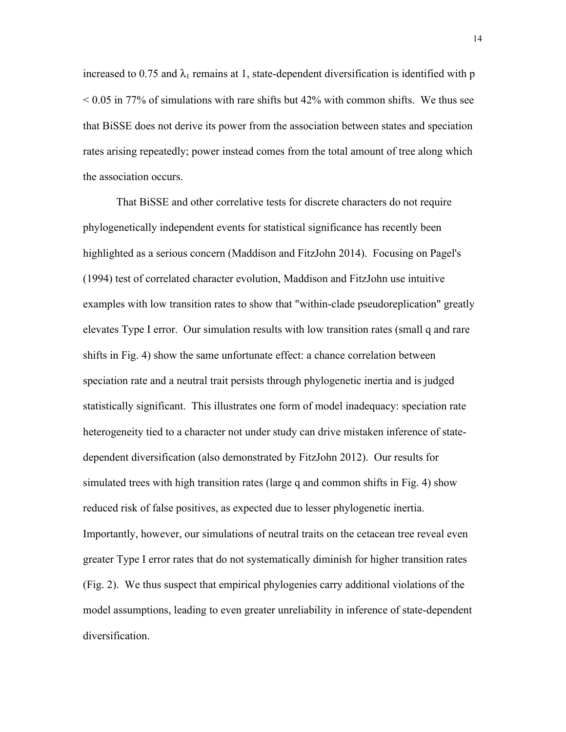increased to 0.75 and  $\lambda_1$  remains at 1, state-dependent diversification is identified with p  $\leq$  0.05 in 77% of simulations with rare shifts but 42% with common shifts. We thus see that BiSSE does not derive its power from the association between states and speciation rates arising repeatedly; power instead comes from the total amount of tree along which the association occurs.

That BiSSE and other correlative tests for discrete characters do not require phylogenetically independent events for statistical significance has recently been highlighted as a serious concern (Maddison and FitzJohn 2014). Focusing on Pagel's (1994) test of correlated character evolution, Maddison and FitzJohn use intuitive examples with low transition rates to show that "within-clade pseudoreplication" greatly elevates Type I error. Our simulation results with low transition rates (small q and rare shifts in Fig. 4) show the same unfortunate effect: a chance correlation between speciation rate and a neutral trait persists through phylogenetic inertia and is judged statistically significant. This illustrates one form of model inadequacy: speciation rate heterogeneity tied to a character not under study can drive mistaken inference of statedependent diversification (also demonstrated by FitzJohn 2012). Our results for simulated trees with high transition rates (large q and common shifts in Fig. 4) show reduced risk of false positives, as expected due to lesser phylogenetic inertia. Importantly, however, our simulations of neutral traits on the cetacean tree reveal even greater Type I error rates that do not systematically diminish for higher transition rates (Fig. 2). We thus suspect that empirical phylogenies carry additional violations of the model assumptions, leading to even greater unreliability in inference of state-dependent diversification.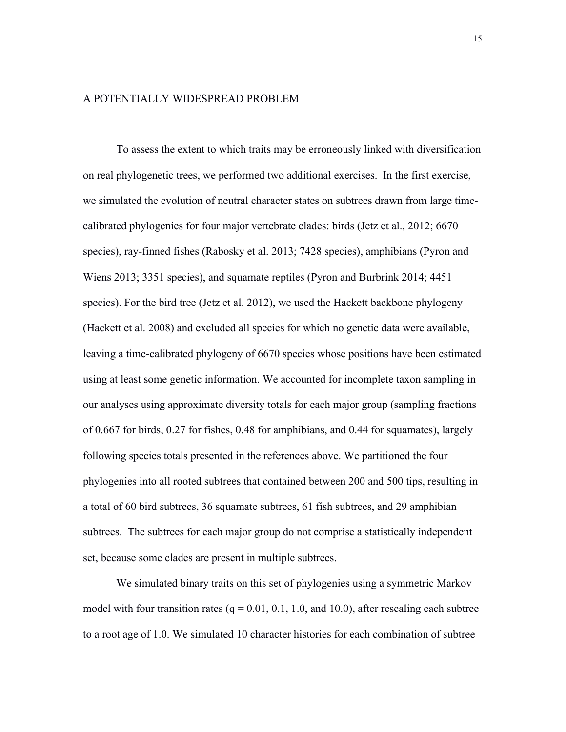### A POTENTIALLY WIDESPREAD PROBLEM

To assess the extent to which traits may be erroneously linked with diversification on real phylogenetic trees, we performed two additional exercises. In the first exercise, we simulated the evolution of neutral character states on subtrees drawn from large timecalibrated phylogenies for four major vertebrate clades: birds (Jetz et al., 2012; 6670 species), ray-finned fishes (Rabosky et al. 2013; 7428 species), amphibians (Pyron and Wiens 2013; 3351 species), and squamate reptiles (Pyron and Burbrink 2014; 4451 species). For the bird tree (Jetz et al. 2012), we used the Hackett backbone phylogeny (Hackett et al. 2008) and excluded all species for which no genetic data were available, leaving a time-calibrated phylogeny of 6670 species whose positions have been estimated using at least some genetic information. We accounted for incomplete taxon sampling in our analyses using approximate diversity totals for each major group (sampling fractions of 0.667 for birds, 0.27 for fishes, 0.48 for amphibians, and 0.44 for squamates), largely following species totals presented in the references above. We partitioned the four phylogenies into all rooted subtrees that contained between 200 and 500 tips, resulting in a total of 60 bird subtrees, 36 squamate subtrees, 61 fish subtrees, and 29 amphibian subtrees. The subtrees for each major group do not comprise a statistically independent set, because some clades are present in multiple subtrees.

We simulated binary traits on this set of phylogenies using a symmetric Markov model with four transition rates ( $q = 0.01, 0.1, 1.0,$  and 10.0), after rescaling each subtree to a root age of 1.0. We simulated 10 character histories for each combination of subtree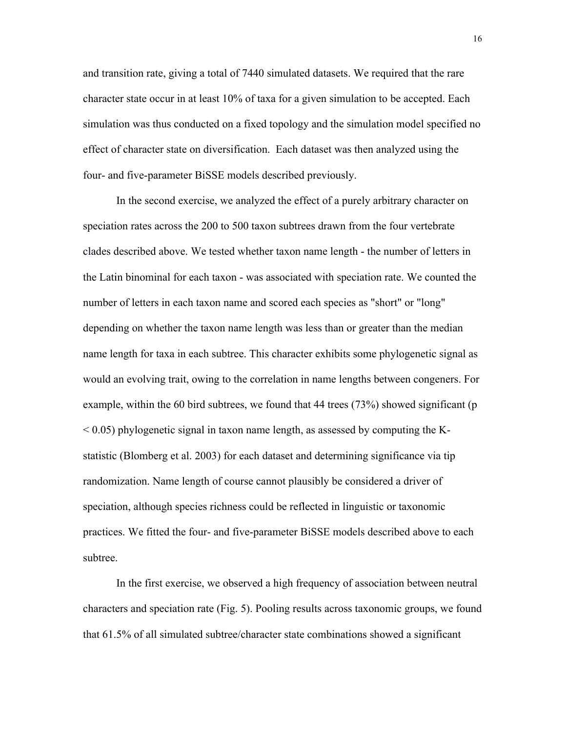and transition rate, giving a total of 7440 simulated datasets. We required that the rare character state occur in at least 10% of taxa for a given simulation to be accepted. Each simulation was thus conducted on a fixed topology and the simulation model specified no effect of character state on diversification. Each dataset was then analyzed using the four- and five-parameter BiSSE models described previously.

In the second exercise, we analyzed the effect of a purely arbitrary character on speciation rates across the 200 to 500 taxon subtrees drawn from the four vertebrate clades described above. We tested whether taxon name length - the number of letters in the Latin binominal for each taxon - was associated with speciation rate. We counted the number of letters in each taxon name and scored each species as "short" or "long" depending on whether the taxon name length was less than or greater than the median name length for taxa in each subtree. This character exhibits some phylogenetic signal as would an evolving trait, owing to the correlation in name lengths between congeners. For example, within the 60 bird subtrees, we found that 44 trees (73%) showed significant (p  $\leq$  0.05) phylogenetic signal in taxon name length, as assessed by computing the Kstatistic (Blomberg et al. 2003) for each dataset and determining significance via tip randomization. Name length of course cannot plausibly be considered a driver of speciation, although species richness could be reflected in linguistic or taxonomic practices. We fitted the four- and five-parameter BiSSE models described above to each subtree.

In the first exercise, we observed a high frequency of association between neutral characters and speciation rate (Fig. 5). Pooling results across taxonomic groups, we found that 61.5% of all simulated subtree/character state combinations showed a significant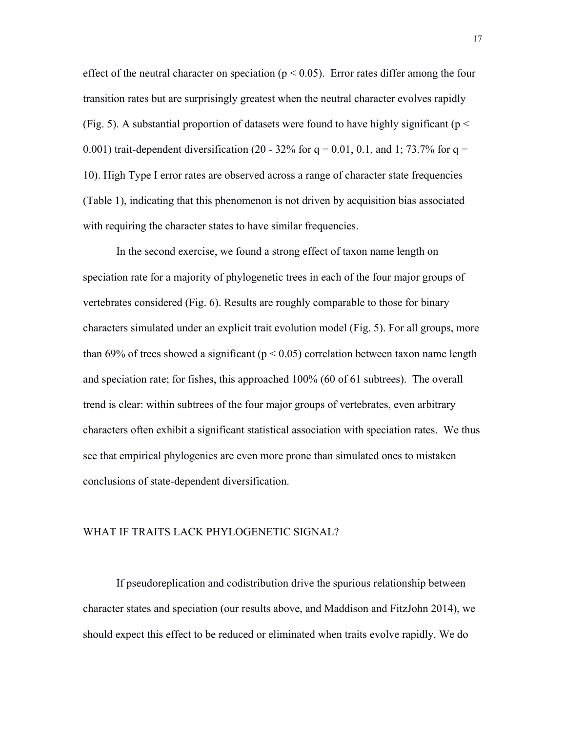effect of the neutral character on speciation ( $p < 0.05$ ). Error rates differ among the four transition rates but are surprisingly greatest when the neutral character evolves rapidly (Fig. 5). A substantial proportion of datasets were found to have highly significant ( $p <$ 0.001) trait-dependent diversification (20 - 32% for  $q = 0.01$ , 0.1, and 1; 73.7% for  $q =$ 10). High Type I error rates are observed across a range of character state frequencies (Table 1), indicating that this phenomenon is not driven by acquisition bias associated with requiring the character states to have similar frequencies.

In the second exercise, we found a strong effect of taxon name length on speciation rate for a majority of phylogenetic trees in each of the four major groups of vertebrates considered (Fig. 6). Results are roughly comparable to those for binary characters simulated under an explicit trait evolution model (Fig. 5). For all groups, more than 69% of trees showed a significant ( $p < 0.05$ ) correlation between taxon name length and speciation rate; for fishes, this approached 100% (60 of 61 subtrees). The overall trend is clear: within subtrees of the four major groups of vertebrates, even arbitrary characters often exhibit a significant statistical association with speciation rates. We thus see that empirical phylogenies are even more prone than simulated ones to mistaken conclusions of state-dependent diversification.

#### WHAT IF TRAITS LACK PHYLOGENETIC SIGNAL?

If pseudoreplication and codistribution drive the spurious relationship between character states and speciation (our results above, and Maddison and FitzJohn 2014), we should expect this effect to be reduced or eliminated when traits evolve rapidly. We do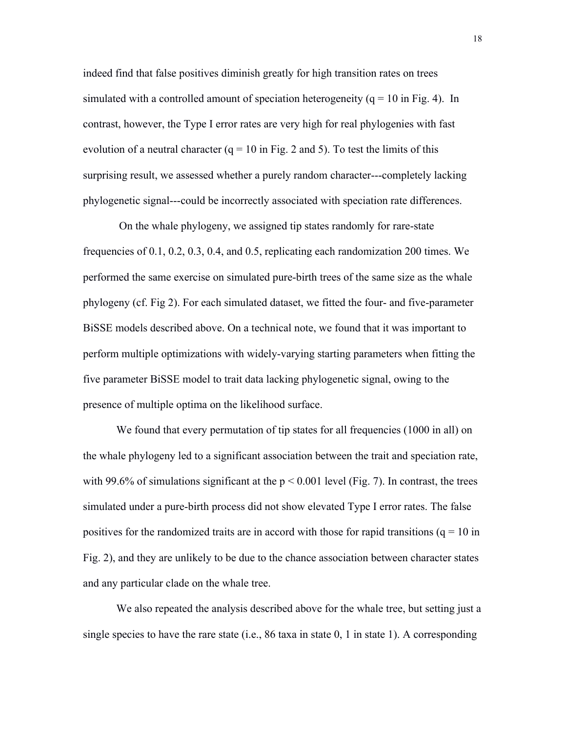indeed find that false positives diminish greatly for high transition rates on trees simulated with a controlled amount of speciation heterogeneity  $(q = 10 \text{ in Fig. 4})$ . In contrast, however, the Type I error rates are very high for real phylogenies with fast evolution of a neutral character  $(q = 10 \text{ in Fig. 2 and 5})$ . To test the limits of this surprising result, we assessed whether a purely random character---completely lacking phylogenetic signal---could be incorrectly associated with speciation rate differences.

On the whale phylogeny, we assigned tip states randomly for rare-state frequencies of 0.1, 0.2, 0.3, 0.4, and 0.5, replicating each randomization 200 times. We performed the same exercise on simulated pure-birth trees of the same size as the whale phylogeny (cf. Fig 2). For each simulated dataset, we fitted the four- and five-parameter BiSSE models described above. On a technical note, we found that it was important to perform multiple optimizations with widely-varying starting parameters when fitting the five parameter BiSSE model to trait data lacking phylogenetic signal, owing to the presence of multiple optima on the likelihood surface.

We found that every permutation of tip states for all frequencies (1000 in all) on the whale phylogeny led to a significant association between the trait and speciation rate, with 99.6% of simulations significant at the  $p < 0.001$  level (Fig. 7). In contrast, the trees simulated under a pure-birth process did not show elevated Type I error rates. The false positives for the randomized traits are in accord with those for rapid transitions ( $q = 10$  in Fig. 2), and they are unlikely to be due to the chance association between character states and any particular clade on the whale tree.

We also repeated the analysis described above for the whale tree, but setting just a single species to have the rare state (i.e., 86 taxa in state 0, 1 in state 1). A corresponding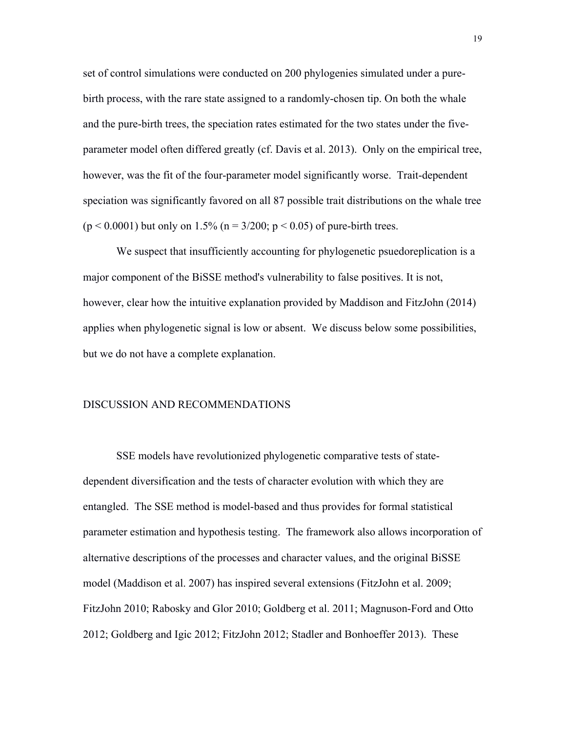set of control simulations were conducted on 200 phylogenies simulated under a purebirth process, with the rare state assigned to a randomly-chosen tip. On both the whale and the pure-birth trees, the speciation rates estimated for the two states under the fiveparameter model often differed greatly (cf. Davis et al. 2013). Only on the empirical tree, however, was the fit of the four-parameter model significantly worse. Trait-dependent speciation was significantly favored on all 87 possible trait distributions on the whale tree  $(p < 0.0001)$  but only on 1.5% (n = 3/200; p < 0.05) of pure-birth trees.

We suspect that insufficiently accounting for phylogenetic psuedoreplication is a major component of the BiSSE method's vulnerability to false positives. It is not, however, clear how the intuitive explanation provided by Maddison and FitzJohn (2014) applies when phylogenetic signal is low or absent. We discuss below some possibilities, but we do not have a complete explanation.

# DISCUSSION AND RECOMMENDATIONS

SSE models have revolutionized phylogenetic comparative tests of statedependent diversification and the tests of character evolution with which they are entangled. The SSE method is model-based and thus provides for formal statistical parameter estimation and hypothesis testing. The framework also allows incorporation of alternative descriptions of the processes and character values, and the original BiSSE model (Maddison et al. 2007) has inspired several extensions (FitzJohn et al. 2009; FitzJohn 2010; Rabosky and Glor 2010; Goldberg et al. 2011; Magnuson-Ford and Otto 2012; Goldberg and Igic 2012; FitzJohn 2012; Stadler and Bonhoeffer 2013). These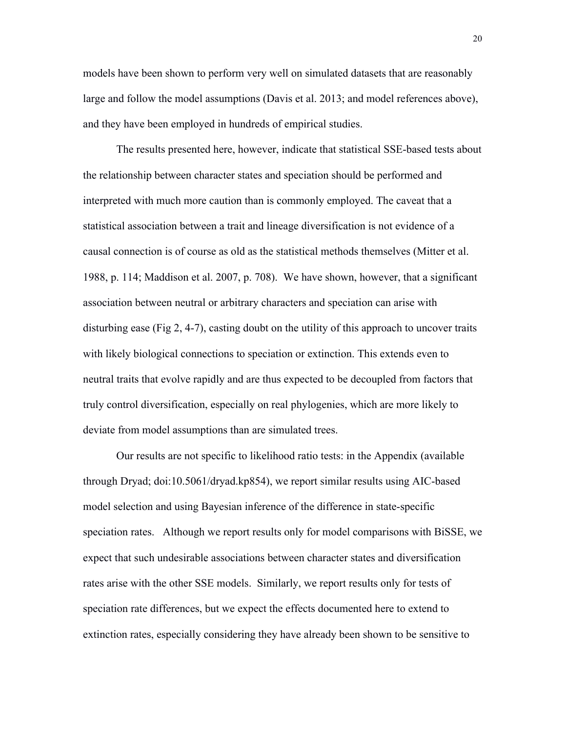models have been shown to perform very well on simulated datasets that are reasonably large and follow the model assumptions (Davis et al. 2013; and model references above), and they have been employed in hundreds of empirical studies.

The results presented here, however, indicate that statistical SSE-based tests about the relationship between character states and speciation should be performed and interpreted with much more caution than is commonly employed. The caveat that a statistical association between a trait and lineage diversification is not evidence of a causal connection is of course as old as the statistical methods themselves (Mitter et al. 1988, p. 114; Maddison et al. 2007, p. 708). We have shown, however, that a significant association between neutral or arbitrary characters and speciation can arise with disturbing ease (Fig 2, 4-7), casting doubt on the utility of this approach to uncover traits with likely biological connections to speciation or extinction. This extends even to neutral traits that evolve rapidly and are thus expected to be decoupled from factors that truly control diversification, especially on real phylogenies, which are more likely to deviate from model assumptions than are simulated trees.

Our results are not specific to likelihood ratio tests: in the Appendix (available through Dryad; doi:10.5061/dryad.kp854), we report similar results using AIC-based model selection and using Bayesian inference of the difference in state-specific speciation rates. Although we report results only for model comparisons with BiSSE, we expect that such undesirable associations between character states and diversification rates arise with the other SSE models. Similarly, we report results only for tests of speciation rate differences, but we expect the effects documented here to extend to extinction rates, especially considering they have already been shown to be sensitive to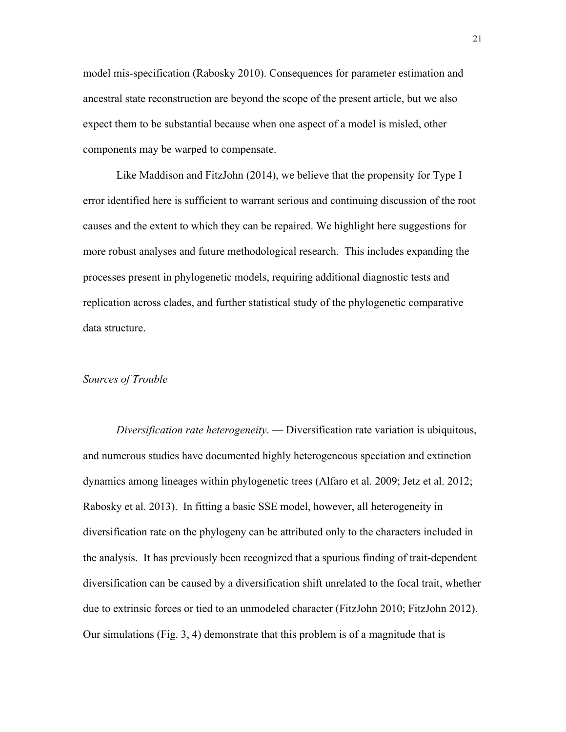model mis-specification (Rabosky 2010). Consequences for parameter estimation and ancestral state reconstruction are beyond the scope of the present article, but we also expect them to be substantial because when one aspect of a model is misled, other components may be warped to compensate.

Like Maddison and FitzJohn (2014), we believe that the propensity for Type I error identified here is sufficient to warrant serious and continuing discussion of the root causes and the extent to which they can be repaired. We highlight here suggestions for more robust analyses and future methodological research. This includes expanding the processes present in phylogenetic models, requiring additional diagnostic tests and replication across clades, and further statistical study of the phylogenetic comparative data structure.

#### *Sources of Trouble*

*Diversification rate heterogeneity*. — Diversification rate variation is ubiquitous, and numerous studies have documented highly heterogeneous speciation and extinction dynamics among lineages within phylogenetic trees (Alfaro et al. 2009; Jetz et al. 2012; Rabosky et al. 2013). In fitting a basic SSE model, however, all heterogeneity in diversification rate on the phylogeny can be attributed only to the characters included in the analysis. It has previously been recognized that a spurious finding of trait-dependent diversification can be caused by a diversification shift unrelated to the focal trait, whether due to extrinsic forces or tied to an unmodeled character (FitzJohn 2010; FitzJohn 2012). Our simulations (Fig. 3, 4) demonstrate that this problem is of a magnitude that is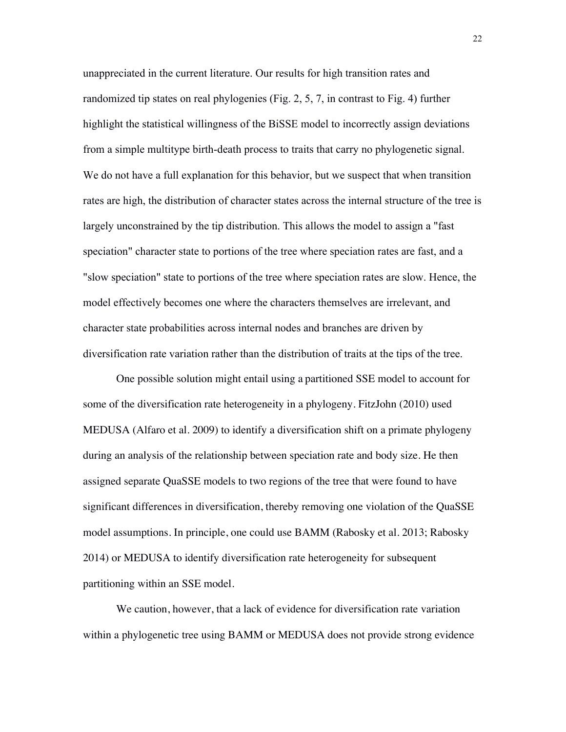unappreciated in the current literature. Our results for high transition rates and randomized tip states on real phylogenies (Fig. 2, 5, 7, in contrast to Fig. 4) further highlight the statistical willingness of the BiSSE model to incorrectly assign deviations from a simple multitype birth-death process to traits that carry no phylogenetic signal. We do not have a full explanation for this behavior, but we suspect that when transition rates are high, the distribution of character states across the internal structure of the tree is largely unconstrained by the tip distribution. This allows the model to assign a "fast speciation" character state to portions of the tree where speciation rates are fast, and a "slow speciation" state to portions of the tree where speciation rates are slow. Hence, the model effectively becomes one where the characters themselves are irrelevant, and character state probabilities across internal nodes and branches are driven by diversification rate variation rather than the distribution of traits at the tips of the tree.

One possible solution might entail using a partitioned SSE model to account for some of the diversification rate heterogeneity in a phylogeny. FitzJohn (2010) used MEDUSA (Alfaro et al. 2009) to identify a diversification shift on a primate phylogeny during an analysis of the relationship between speciation rate and body size. He then assigned separate QuaSSE models to two regions of the tree that were found to have significant differences in diversification, thereby removing one violation of the QuaSSE model assumptions. In principle, one could use BAMM (Rabosky et al. 2013; Rabosky 2014) or MEDUSA to identify diversification rate heterogeneity for subsequent partitioning within an SSE model.

We caution, however, that a lack of evidence for diversification rate variation within a phylogenetic tree using BAMM or MEDUSA does not provide strong evidence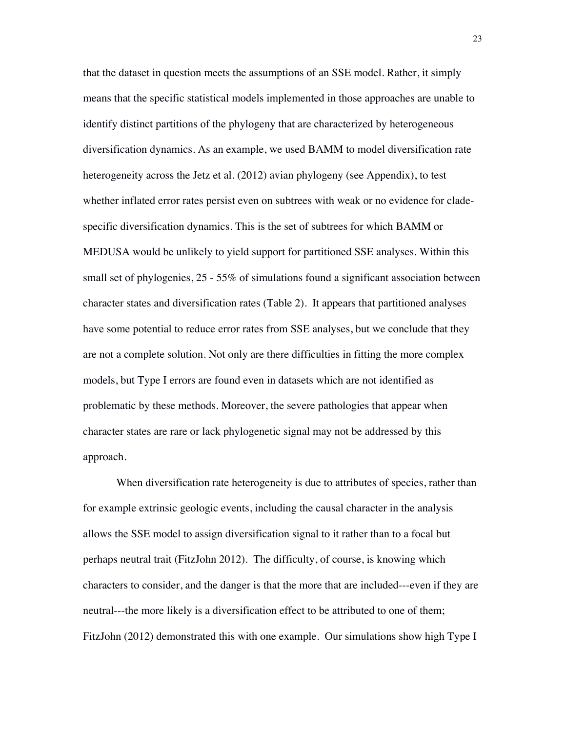that the dataset in question meets the assumptions of an SSE model. Rather, it simply means that the specific statistical models implemented in those approaches are unable to identify distinct partitions of the phylogeny that are characterized by heterogeneous diversification dynamics. As an example, we used BAMM to model diversification rate heterogeneity across the Jetz et al. (2012) avian phylogeny (see Appendix), to test whether inflated error rates persist even on subtrees with weak or no evidence for cladespecific diversification dynamics. This is the set of subtrees for which BAMM or MEDUSA would be unlikely to yield support for partitioned SSE analyses. Within this small set of phylogenies, 25 - 55% of simulations found a significant association between character states and diversification rates (Table 2). It appears that partitioned analyses have some potential to reduce error rates from SSE analyses, but we conclude that they are not a complete solution. Not only are there difficulties in fitting the more complex models, but Type I errors are found even in datasets which are not identified as problematic by these methods. Moreover, the severe pathologies that appear when character states are rare or lack phylogenetic signal may not be addressed by this approach.

When diversification rate heterogeneity is due to attributes of species, rather than for example extrinsic geologic events, including the causal character in the analysis allows the SSE model to assign diversification signal to it rather than to a focal but perhaps neutral trait (FitzJohn 2012). The difficulty, of course, is knowing which characters to consider, and the danger is that the more that are included---even if they are neutral---the more likely is a diversification effect to be attributed to one of them; FitzJohn (2012) demonstrated this with one example. Our simulations show high Type I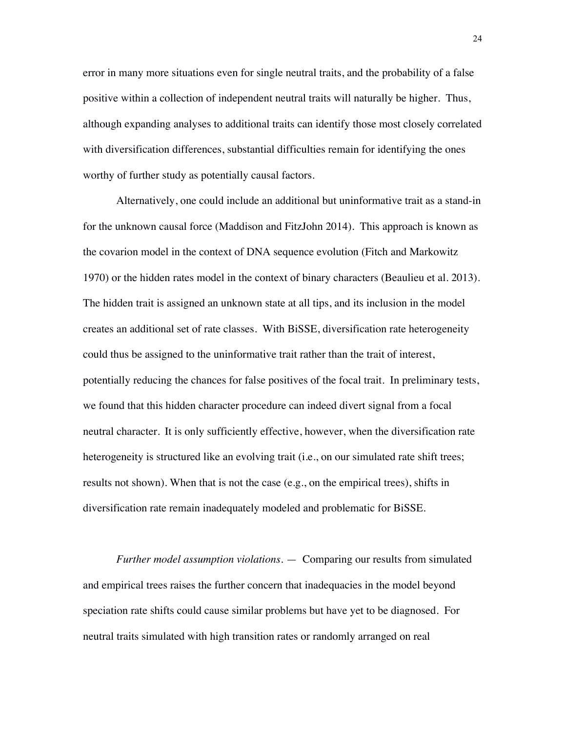error in many more situations even for single neutral traits, and the probability of a false positive within a collection of independent neutral traits will naturally be higher. Thus, although expanding analyses to additional traits can identify those most closely correlated with diversification differences, substantial difficulties remain for identifying the ones worthy of further study as potentially causal factors.

Alternatively, one could include an additional but uninformative trait as a stand-in for the unknown causal force (Maddison and FitzJohn 2014). This approach is known as the covarion model in the context of DNA sequence evolution (Fitch and Markowitz 1970) or the hidden rates model in the context of binary characters (Beaulieu et al. 2013). The hidden trait is assigned an unknown state at all tips, and its inclusion in the model creates an additional set of rate classes. With BiSSE, diversification rate heterogeneity could thus be assigned to the uninformative trait rather than the trait of interest, potentially reducing the chances for false positives of the focal trait. In preliminary tests, we found that this hidden character procedure can indeed divert signal from a focal neutral character. It is only sufficiently effective, however, when the diversification rate heterogeneity is structured like an evolving trait (i.e., on our simulated rate shift trees; results not shown). When that is not the case (e.g., on the empirical trees), shifts in diversification rate remain inadequately modeled and problematic for BiSSE.

*Further model assumption violations*. — Comparing our results from simulated and empirical trees raises the further concern that inadequacies in the model beyond speciation rate shifts could cause similar problems but have yet to be diagnosed. For neutral traits simulated with high transition rates or randomly arranged on real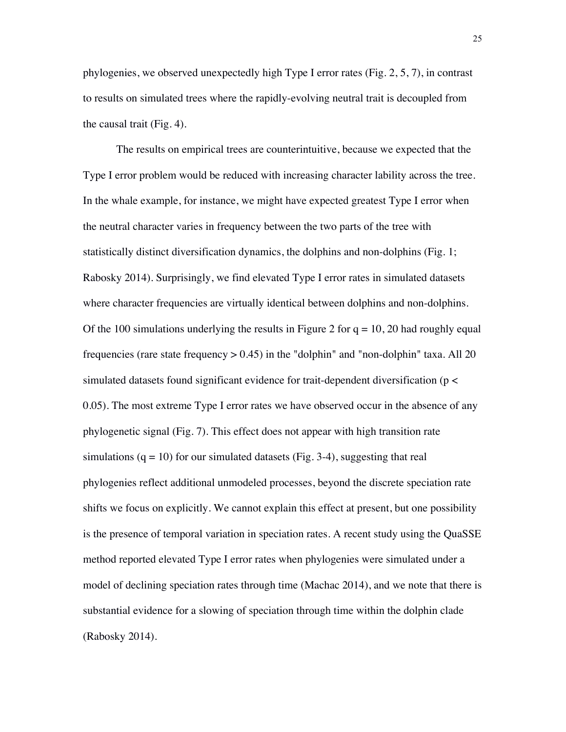phylogenies, we observed unexpectedly high Type I error rates (Fig. 2, 5, 7), in contrast to results on simulated trees where the rapidly-evolving neutral trait is decoupled from the causal trait (Fig. 4).

The results on empirical trees are counterintuitive, because we expected that the Type I error problem would be reduced with increasing character lability across the tree. In the whale example, for instance, we might have expected greatest Type I error when the neutral character varies in frequency between the two parts of the tree with statistically distinct diversification dynamics, the dolphins and non-dolphins (Fig. 1; Rabosky 2014). Surprisingly, we find elevated Type I error rates in simulated datasets where character frequencies are virtually identical between dolphins and non-dolphins. Of the 100 simulations underlying the results in Figure 2 for  $q = 10$ , 20 had roughly equal frequencies (rare state frequency  $> 0.45$ ) in the "dolphin" and "non-dolphin" taxa. All 20 simulated datasets found significant evidence for trait-dependent diversification (p < 0.05). The most extreme Type I error rates we have observed occur in the absence of any phylogenetic signal (Fig. 7). This effect does not appear with high transition rate simulations  $(q = 10)$  for our simulated datasets (Fig. 3-4), suggesting that real phylogenies reflect additional unmodeled processes, beyond the discrete speciation rate shifts we focus on explicitly. We cannot explain this effect at present, but one possibility is the presence of temporal variation in speciation rates. A recent study using the QuaSSE method reported elevated Type I error rates when phylogenies were simulated under a model of declining speciation rates through time (Machac 2014), and we note that there is substantial evidence for a slowing of speciation through time within the dolphin clade (Rabosky 2014).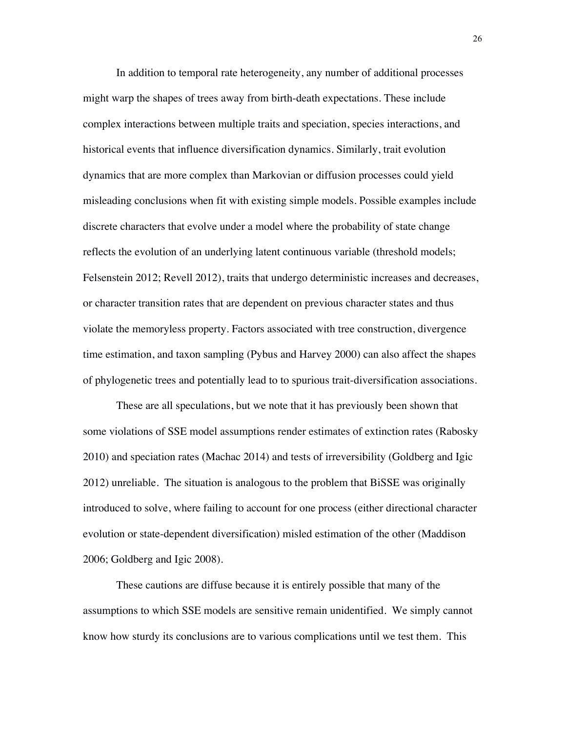In addition to temporal rate heterogeneity, any number of additional processes might warp the shapes of trees away from birth-death expectations. These include complex interactions between multiple traits and speciation, species interactions, and historical events that influence diversification dynamics. Similarly, trait evolution dynamics that are more complex than Markovian or diffusion processes could yield misleading conclusions when fit with existing simple models. Possible examples include discrete characters that evolve under a model where the probability of state change reflects the evolution of an underlying latent continuous variable (threshold models; Felsenstein 2012; Revell 2012), traits that undergo deterministic increases and decreases, or character transition rates that are dependent on previous character states and thus violate the memoryless property. Factors associated with tree construction, divergence time estimation, and taxon sampling (Pybus and Harvey 2000) can also affect the shapes of phylogenetic trees and potentially lead to to spurious trait-diversification associations.

These are all speculations, but we note that it has previously been shown that some violations of SSE model assumptions render estimates of extinction rates (Rabosky 2010) and speciation rates (Machac 2014) and tests of irreversibility (Goldberg and Igic 2012) unreliable. The situation is analogous to the problem that BiSSE was originally introduced to solve, where failing to account for one process (either directional character evolution or state-dependent diversification) misled estimation of the other (Maddison 2006; Goldberg and Igic 2008).

These cautions are diffuse because it is entirely possible that many of the assumptions to which SSE models are sensitive remain unidentified. We simply cannot know how sturdy its conclusions are to various complications until we test them. This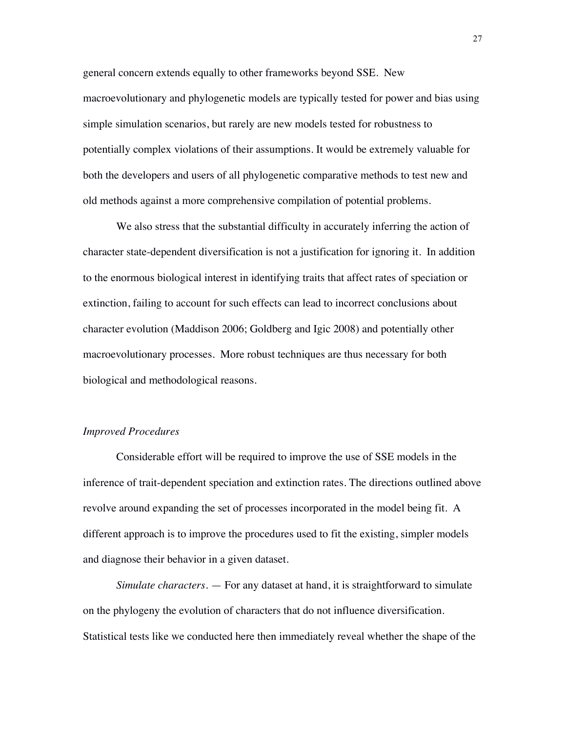general concern extends equally to other frameworks beyond SSE. New macroevolutionary and phylogenetic models are typically tested for power and bias using simple simulation scenarios, but rarely are new models tested for robustness to potentially complex violations of their assumptions. It would be extremely valuable for both the developers and users of all phylogenetic comparative methods to test new and old methods against a more comprehensive compilation of potential problems.

We also stress that the substantial difficulty in accurately inferring the action of character state-dependent diversification is not a justification for ignoring it. In addition to the enormous biological interest in identifying traits that affect rates of speciation or extinction, failing to account for such effects can lead to incorrect conclusions about character evolution (Maddison 2006; Goldberg and Igic 2008) and potentially other macroevolutionary processes. More robust techniques are thus necessary for both biological and methodological reasons.

#### *Improved Procedures*

Considerable effort will be required to improve the use of SSE models in the inference of trait-dependent speciation and extinction rates. The directions outlined above revolve around expanding the set of processes incorporated in the model being fit. A different approach is to improve the procedures used to fit the existing, simpler models and diagnose their behavior in a given dataset.

*Simulate characters*. — For any dataset at hand, it is straightforward to simulate on the phylogeny the evolution of characters that do not influence diversification. Statistical tests like we conducted here then immediately reveal whether the shape of the

27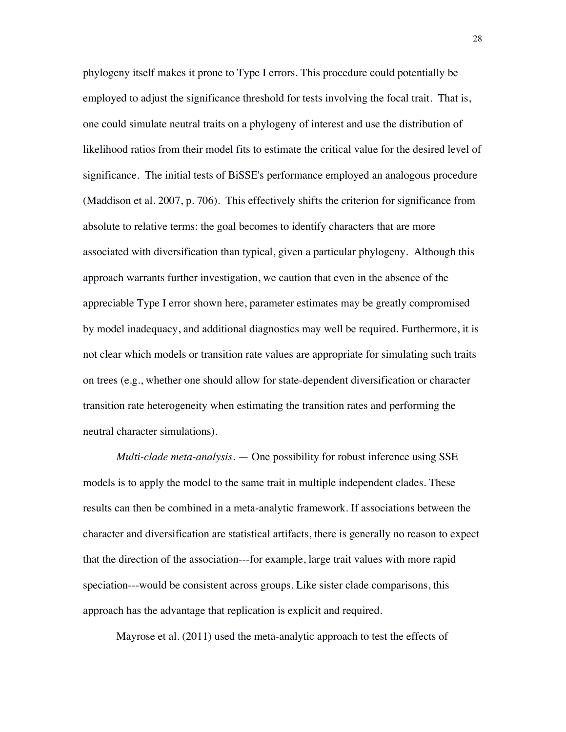phylogeny itself makes it prone to Type I errors. This procedure could potentially be employed to adjust the significance threshold for tests involving the focal trait. That is, one could simulate neutral traits on a phylogeny of interest and use the distribution of likelihood ratios from their model fits to estimate the critical value for the desired level of significance. The initial tests of BiSSE's performance employed an analogous procedure (Maddison et al. 2007, p. 706). This effectively shifts the criterion for significance from absolute to relative terms: the goal becomes to identify characters that are more associated with diversification than typical, given a particular phylogeny. Although this approach warrants further investigation, we caution that even in the absence of the appreciable Type I error shown here, parameter estimates may be greatly compromised by model inadequacy, and additional diagnostics may well be required. Furthermore, it is not clear which models or transition rate values are appropriate for simulating such traits on trees (e.g., whether one should allow for state-dependent diversification or character transition rate heterogeneity when estimating the transition rates and performing the neutral character simulations).

*Multi-clade meta-analysis*. — One possibility for robust inference using SSE models is to apply the model to the same trait in multiple independent clades. These results can then be combined in a meta-analytic framework. If associations between the character and diversification are statistical artifacts, there is generally no reason to expect that the direction of the association---for example, large trait values with more rapid speciation---would be consistent across groups. Like sister clade comparisons, this approach has the advantage that replication is explicit and required.

Mayrose et al. (2011) used the meta-analytic approach to test the effects of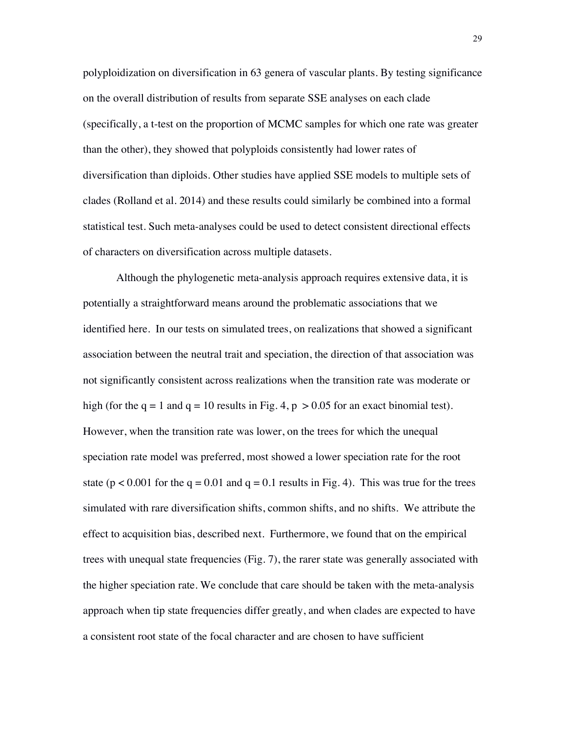polyploidization on diversification in 63 genera of vascular plants. By testing significance on the overall distribution of results from separate SSE analyses on each clade (specifically, a t-test on the proportion of MCMC samples for which one rate was greater than the other), they showed that polyploids consistently had lower rates of diversification than diploids. Other studies have applied SSE models to multiple sets of clades (Rolland et al. 2014) and these results could similarly be combined into a formal statistical test. Such meta-analyses could be used to detect consistent directional effects of characters on diversification across multiple datasets.

Although the phylogenetic meta-analysis approach requires extensive data, it is potentially a straightforward means around the problematic associations that we identified here. In our tests on simulated trees, on realizations that showed a significant association between the neutral trait and speciation, the direction of that association was not significantly consistent across realizations when the transition rate was moderate or high (for the  $q = 1$  and  $q = 10$  results in Fig. 4,  $p > 0.05$  for an exact binomial test). However, when the transition rate was lower, on the trees for which the unequal speciation rate model was preferred, most showed a lower speciation rate for the root state ( $p < 0.001$  for the  $q = 0.01$  and  $q = 0.1$  results in Fig. 4). This was true for the trees simulated with rare diversification shifts, common shifts, and no shifts. We attribute the effect to acquisition bias, described next. Furthermore, we found that on the empirical trees with unequal state frequencies (Fig. 7), the rarer state was generally associated with the higher speciation rate. We conclude that care should be taken with the meta-analysis approach when tip state frequencies differ greatly, and when clades are expected to have a consistent root state of the focal character and are chosen to have sufficient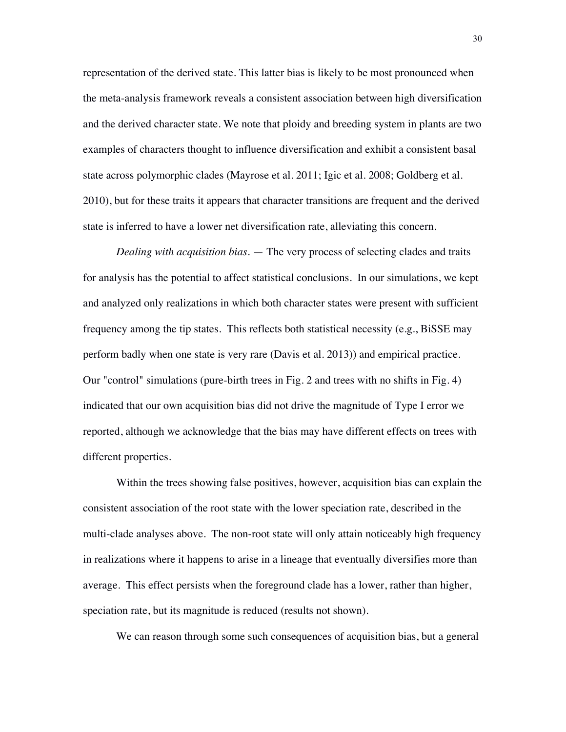representation of the derived state. This latter bias is likely to be most pronounced when the meta-analysis framework reveals a consistent association between high diversification and the derived character state. We note that ploidy and breeding system in plants are two examples of characters thought to influence diversification and exhibit a consistent basal state across polymorphic clades (Mayrose et al. 2011; Igic et al. 2008; Goldberg et al. 2010), but for these traits it appears that character transitions are frequent and the derived state is inferred to have a lower net diversification rate, alleviating this concern.

*Dealing with acquisition bias*. — The very process of selecting clades and traits for analysis has the potential to affect statistical conclusions. In our simulations, we kept and analyzed only realizations in which both character states were present with sufficient frequency among the tip states. This reflects both statistical necessity (e.g., BiSSE may perform badly when one state is very rare (Davis et al. 2013)) and empirical practice. Our "control" simulations (pure-birth trees in Fig. 2 and trees with no shifts in Fig. 4) indicated that our own acquisition bias did not drive the magnitude of Type I error we reported, although we acknowledge that the bias may have different effects on trees with different properties.

Within the trees showing false positives, however, acquisition bias can explain the consistent association of the root state with the lower speciation rate, described in the multi-clade analyses above. The non-root state will only attain noticeably high frequency in realizations where it happens to arise in a lineage that eventually diversifies more than average. This effect persists when the foreground clade has a lower, rather than higher, speciation rate, but its magnitude is reduced (results not shown).

We can reason through some such consequences of acquisition bias, but a general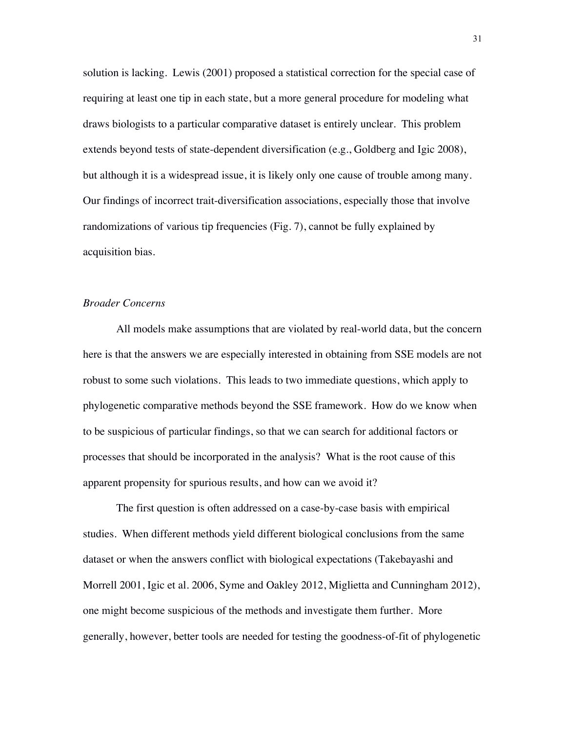solution is lacking. Lewis (2001) proposed a statistical correction for the special case of requiring at least one tip in each state, but a more general procedure for modeling what draws biologists to a particular comparative dataset is entirely unclear. This problem extends beyond tests of state-dependent diversification (e.g., Goldberg and Igic 2008), but although it is a widespread issue, it is likely only one cause of trouble among many. Our findings of incorrect trait-diversification associations, especially those that involve randomizations of various tip frequencies (Fig. 7), cannot be fully explained by acquisition bias.

# *Broader Concerns*

All models make assumptions that are violated by real-world data, but the concern here is that the answers we are especially interested in obtaining from SSE models are not robust to some such violations. This leads to two immediate questions, which apply to phylogenetic comparative methods beyond the SSE framework. How do we know when to be suspicious of particular findings, so that we can search for additional factors or processes that should be incorporated in the analysis? What is the root cause of this apparent propensity for spurious results, and how can we avoid it?

The first question is often addressed on a case-by-case basis with empirical studies. When different methods yield different biological conclusions from the same dataset or when the answers conflict with biological expectations (Takebayashi and Morrell 2001, Igic et al. 2006, Syme and Oakley 2012, Miglietta and Cunningham 2012), one might become suspicious of the methods and investigate them further. More generally, however, better tools are needed for testing the goodness-of-fit of phylogenetic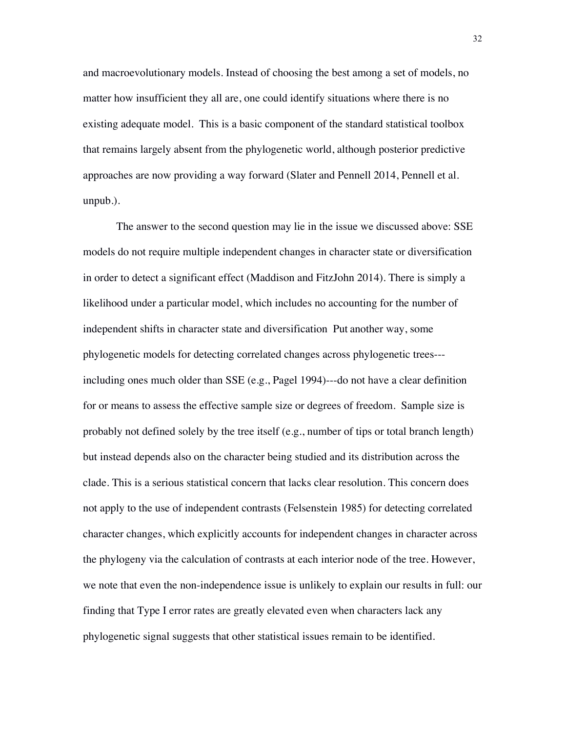and macroevolutionary models. Instead of choosing the best among a set of models, no matter how insufficient they all are, one could identify situations where there is no existing adequate model. This is a basic component of the standard statistical toolbox that remains largely absent from the phylogenetic world, although posterior predictive approaches are now providing a way forward (Slater and Pennell 2014, Pennell et al. unpub.).

The answer to the second question may lie in the issue we discussed above: SSE models do not require multiple independent changes in character state or diversification in order to detect a significant effect (Maddison and FitzJohn 2014). There is simply a likelihood under a particular model, which includes no accounting for the number of independent shifts in character state and diversification Put another way, some phylogenetic models for detecting correlated changes across phylogenetic trees-- including ones much older than SSE (e.g., Pagel 1994)---do not have a clear definition for or means to assess the effective sample size or degrees of freedom. Sample size is probably not defined solely by the tree itself (e.g., number of tips or total branch length) but instead depends also on the character being studied and its distribution across the clade. This is a serious statistical concern that lacks clear resolution. This concern does not apply to the use of independent contrasts (Felsenstein 1985) for detecting correlated character changes, which explicitly accounts for independent changes in character across the phylogeny via the calculation of contrasts at each interior node of the tree. However, we note that even the non-independence issue is unlikely to explain our results in full: our finding that Type I error rates are greatly elevated even when characters lack any phylogenetic signal suggests that other statistical issues remain to be identified.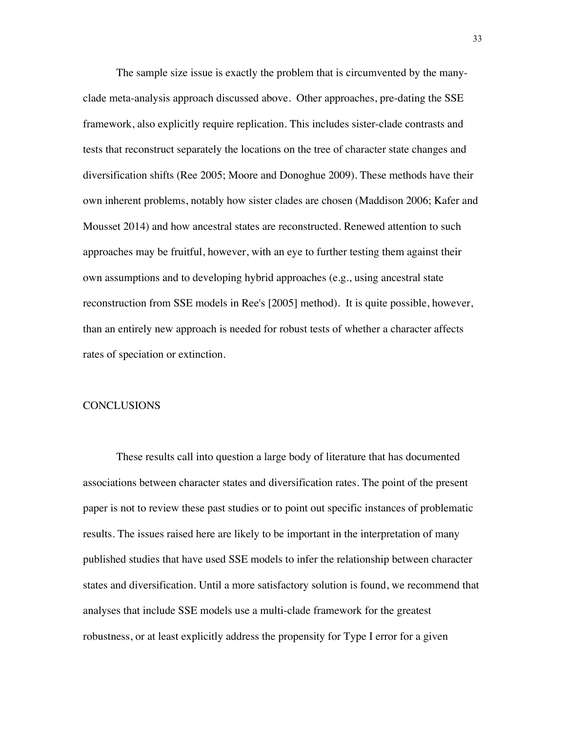The sample size issue is exactly the problem that is circumvented by the manyclade meta-analysis approach discussed above. Other approaches, pre-dating the SSE framework, also explicitly require replication. This includes sister-clade contrasts and tests that reconstruct separately the locations on the tree of character state changes and diversification shifts (Ree 2005; Moore and Donoghue 2009). These methods have their own inherent problems, notably how sister clades are chosen (Maddison 2006; Kafer and Mousset 2014) and how ancestral states are reconstructed. Renewed attention to such approaches may be fruitful, however, with an eye to further testing them against their own assumptions and to developing hybrid approaches (e.g., using ancestral state reconstruction from SSE models in Ree's [2005] method). It is quite possible, however, than an entirely new approach is needed for robust tests of whether a character affects rates of speciation or extinction.

#### **CONCLUSIONS**

These results call into question a large body of literature that has documented associations between character states and diversification rates. The point of the present paper is not to review these past studies or to point out specific instances of problematic results. The issues raised here are likely to be important in the interpretation of many published studies that have used SSE models to infer the relationship between character states and diversification. Until a more satisfactory solution is found, we recommend that analyses that include SSE models use a multi-clade framework for the greatest robustness, or at least explicitly address the propensity for Type I error for a given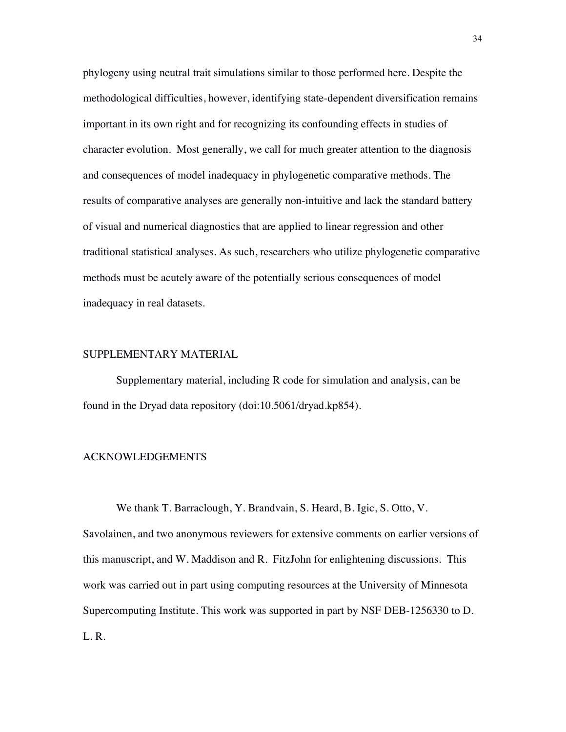phylogeny using neutral trait simulations similar to those performed here. Despite the methodological difficulties, however, identifying state-dependent diversification remains important in its own right and for recognizing its confounding effects in studies of character evolution. Most generally, we call for much greater attention to the diagnosis and consequences of model inadequacy in phylogenetic comparative methods. The results of comparative analyses are generally non-intuitive and lack the standard battery of visual and numerical diagnostics that are applied to linear regression and other traditional statistical analyses. As such, researchers who utilize phylogenetic comparative methods must be acutely aware of the potentially serious consequences of model inadequacy in real datasets.

#### SUPPLEMENTARY MATERIAL

Supplementary material, including R code for simulation and analysis, can be found in the Dryad data repository (doi:10.5061/dryad.kp854).

# ACKNOWLEDGEMENTS

We thank T. Barraclough, Y. Brandvain, S. Heard, B. Igic, S. Otto, V. Savolainen, and two anonymous reviewers for extensive comments on earlier versions of this manuscript, and W. Maddison and R. FitzJohn for enlightening discussions. This work was carried out in part using computing resources at the University of Minnesota Supercomputing Institute. This work was supported in part by NSF DEB-1256330 to D. L. R.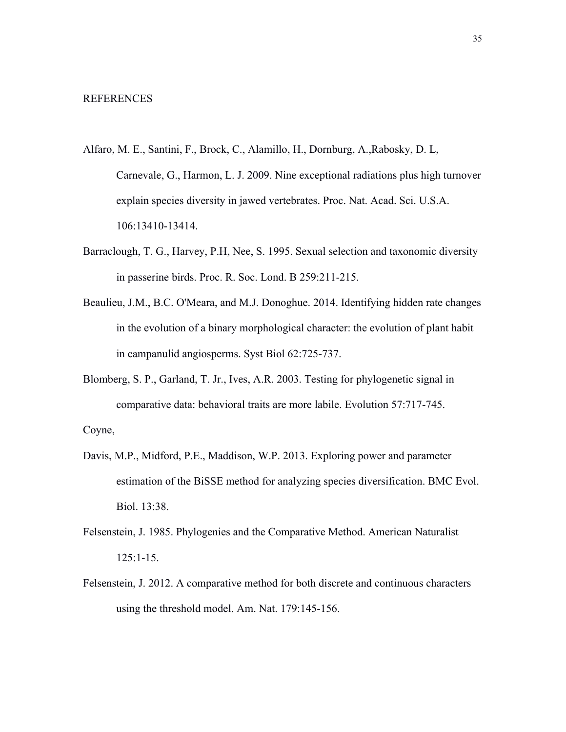- Alfaro, M. E., Santini, F., Brock, C., Alamillo, H., Dornburg, A.,Rabosky, D. L, Carnevale, G., Harmon, L. J. 2009. Nine exceptional radiations plus high turnover explain species diversity in jawed vertebrates. Proc. Nat. Acad. Sci. U.S.A. 106:13410-13414.
- Barraclough, T. G., Harvey, P.H, Nee, S. 1995. Sexual selection and taxonomic diversity in passerine birds. Proc. R. Soc. Lond. B 259:211-215.
- Beaulieu, J.M., B.C. O'Meara, and M.J. Donoghue. 2014. Identifying hidden rate changes in the evolution of a binary morphological character: the evolution of plant habit in campanulid angiosperms. Syst Biol 62:725-737.
- Blomberg, S. P., Garland, T. Jr., Ives, A.R. 2003. Testing for phylogenetic signal in comparative data: behavioral traits are more labile. Evolution 57:717-745.

Coyne,

- Davis, M.P., Midford, P.E., Maddison, W.P. 2013. Exploring power and parameter estimation of the BiSSE method for analyzing species diversification. BMC Evol. Biol. 13:38.
- Felsenstein, J. 1985. Phylogenies and the Comparative Method. American Naturalist 125:1-15.
- Felsenstein, J. 2012. A comparative method for both discrete and continuous characters using the threshold model. Am. Nat. 179:145-156.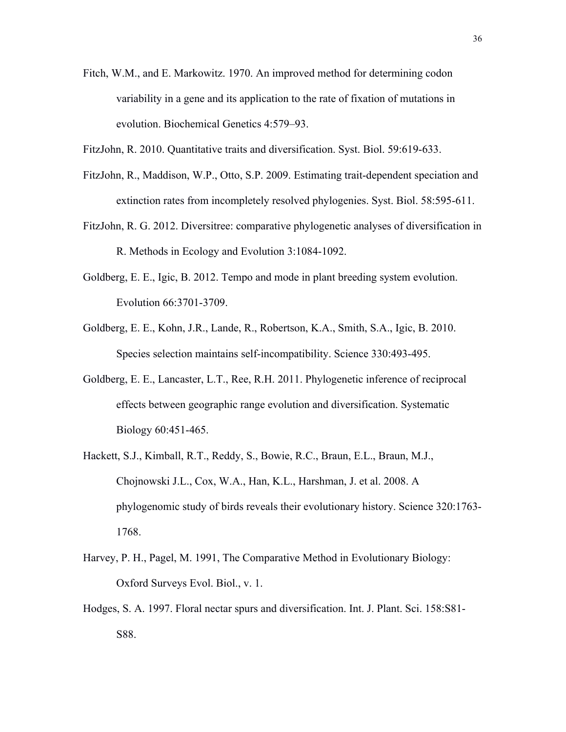- Fitch, W.M., and E. Markowitz. 1970. An improved method for determining codon variability in a gene and its application to the rate of fixation of mutations in evolution. Biochemical Genetics 4:579–93.
- FitzJohn, R. 2010. Quantitative traits and diversification. Syst. Biol. 59:619-633.
- FitzJohn, R., Maddison, W.P., Otto, S.P. 2009. Estimating trait-dependent speciation and extinction rates from incompletely resolved phylogenies. Syst. Biol. 58:595-611.
- FitzJohn, R. G. 2012. Diversitree: comparative phylogenetic analyses of diversification in R. Methods in Ecology and Evolution 3:1084-1092.
- Goldberg, E. E., Igic, B. 2012. Tempo and mode in plant breeding system evolution. Evolution 66:3701-3709.
- Goldberg, E. E., Kohn, J.R., Lande, R., Robertson, K.A., Smith, S.A., Igic, B. 2010. Species selection maintains self-incompatibility. Science 330:493-495.
- Goldberg, E. E., Lancaster, L.T., Ree, R.H. 2011. Phylogenetic inference of reciprocal effects between geographic range evolution and diversification. Systematic Biology 60:451-465.
- Hackett, S.J., Kimball, R.T., Reddy, S., Bowie, R.C., Braun, E.L., Braun, M.J., Chojnowski J.L., Cox, W.A., Han, K.L., Harshman, J. et al. 2008. A phylogenomic study of birds reveals their evolutionary history. Science 320:1763- 1768.
- Harvey, P. H., Pagel, M. 1991, The Comparative Method in Evolutionary Biology: Oxford Surveys Evol. Biol., v. 1.
- Hodges, S. A. 1997. Floral nectar spurs and diversification. Int. J. Plant. Sci. 158:S81- S88.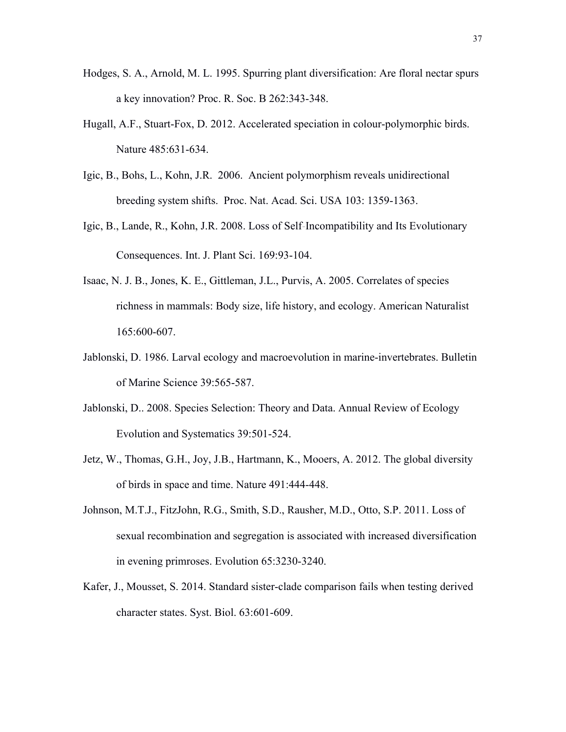- Hodges, S. A., Arnold, M. L. 1995. Spurring plant diversification: Are floral nectar spurs a key innovation? Proc. R. Soc. B 262:343-348.
- Hugall, A.F., Stuart-Fox, D. 2012. Accelerated speciation in colour-polymorphic birds. Nature 485:631-634.
- Igic, B., Bohs, L., Kohn, J.R. 2006. Ancient polymorphism reveals unidirectional breeding system shifts. Proc. Nat. Acad. Sci. USA 103: 1359-1363.
- Igic, B., Lande, R., Kohn, J.R. 2008. Loss of Self‐Incompatibility and Its Evolutionary Consequences. Int. J. Plant Sci. 169:93-104.
- Isaac, N. J. B., Jones, K. E., Gittleman, J.L., Purvis, A. 2005. Correlates of species richness in mammals: Body size, life history, and ecology. American Naturalist 165:600-607.
- Jablonski, D. 1986. Larval ecology and macroevolution in marine-invertebrates. Bulletin of Marine Science 39:565-587.
- Jablonski, D.. 2008. Species Selection: Theory and Data. Annual Review of Ecology Evolution and Systematics 39:501-524.
- Jetz, W., Thomas, G.H., Joy, J.B., Hartmann, K., Mooers, A. 2012. The global diversity of birds in space and time. Nature 491:444-448.
- Johnson, M.T.J., FitzJohn, R.G., Smith, S.D., Rausher, M.D., Otto, S.P. 2011. Loss of sexual recombination and segregation is associated with increased diversification in evening primroses. Evolution 65:3230-3240.
- Kafer, J., Mousset, S. 2014. Standard sister-clade comparison fails when testing derived character states. Syst. Biol. 63:601-609.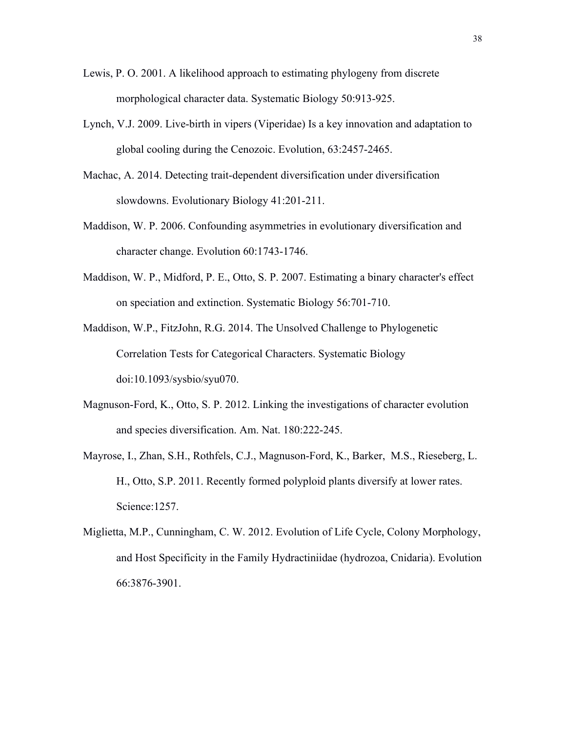- Lewis, P. O. 2001. A likelihood approach to estimating phylogeny from discrete morphological character data. Systematic Biology 50:913-925.
- Lynch, V.J. 2009. Live-birth in vipers (Viperidae) Is a key innovation and adaptation to global cooling during the Cenozoic. Evolution, 63:2457-2465.
- Machac, A. 2014. Detecting trait-dependent diversification under diversification slowdowns. Evolutionary Biology 41:201-211.
- Maddison, W. P. 2006. Confounding asymmetries in evolutionary diversification and character change. Evolution 60:1743-1746.
- Maddison, W. P., Midford, P. E., Otto, S. P. 2007. Estimating a binary character's effect on speciation and extinction. Systematic Biology 56:701-710.
- Maddison, W.P., FitzJohn, R.G. 2014. The Unsolved Challenge to Phylogenetic Correlation Tests for Categorical Characters. Systematic Biology doi:10.1093/sysbio/syu070.
- Magnuson-Ford, K., Otto, S. P. 2012. Linking the investigations of character evolution and species diversification. Am. Nat. 180:222-245.
- Mayrose, I., Zhan, S.H., Rothfels, C.J., Magnuson-Ford, K., Barker, M.S., Rieseberg, L. H., Otto, S.P. 2011. Recently formed polyploid plants diversify at lower rates. Science:1257.
- Miglietta, M.P., Cunningham, C. W. 2012. Evolution of Life Cycle, Colony Morphology, and Host Specificity in the Family Hydractiniidae (hydrozoa, Cnidaria). Evolution 66:3876-3901.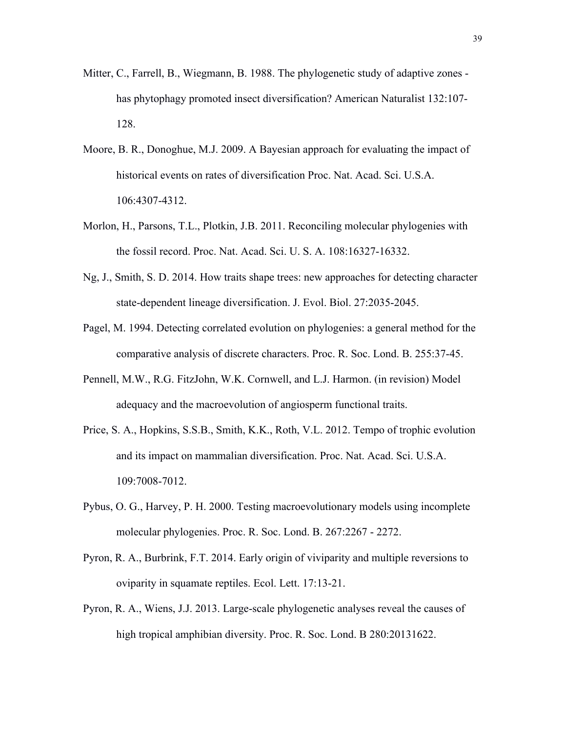- Mitter, C., Farrell, B., Wiegmann, B. 1988. The phylogenetic study of adaptive zones has phytophagy promoted insect diversification? American Naturalist 132:107- 128.
- Moore, B. R., Donoghue, M.J. 2009. A Bayesian approach for evaluating the impact of historical events on rates of diversification Proc. Nat. Acad. Sci. U.S.A. 106:4307-4312.
- Morlon, H., Parsons, T.L., Plotkin, J.B. 2011. Reconciling molecular phylogenies with the fossil record. Proc. Nat. Acad. Sci. U. S. A. 108:16327-16332.
- Ng, J., Smith, S. D. 2014. How traits shape trees: new approaches for detecting character state-dependent lineage diversification. J. Evol. Biol. 27:2035-2045.
- Pagel, M. 1994. Detecting correlated evolution on phylogenies: a general method for the comparative analysis of discrete characters. Proc. R. Soc. Lond. B. 255:37-45.
- Pennell, M.W., R.G. FitzJohn, W.K. Cornwell, and L.J. Harmon. (in revision) Model adequacy and the macroevolution of angiosperm functional traits.
- Price, S. A., Hopkins, S.S.B., Smith, K.K., Roth, V.L. 2012. Tempo of trophic evolution and its impact on mammalian diversification. Proc. Nat. Acad. Sci. U.S.A. 109:7008-7012.
- Pybus, O. G., Harvey, P. H. 2000. Testing macroevolutionary models using incomplete molecular phylogenies. Proc. R. Soc. Lond. B. 267:2267 - 2272.
- Pyron, R. A., Burbrink, F.T. 2014. Early origin of viviparity and multiple reversions to oviparity in squamate reptiles. Ecol. Lett. 17:13-21.
- Pyron, R. A., Wiens, J.J. 2013. Large-scale phylogenetic analyses reveal the causes of high tropical amphibian diversity. Proc. R. Soc. Lond. B 280:20131622.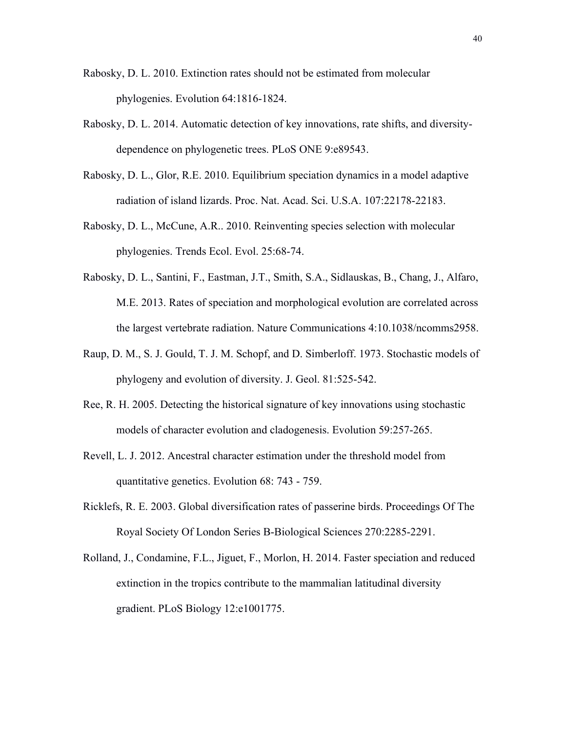- Rabosky, D. L. 2010. Extinction rates should not be estimated from molecular phylogenies. Evolution 64:1816-1824.
- Rabosky, D. L. 2014. Automatic detection of key innovations, rate shifts, and diversitydependence on phylogenetic trees. PLoS ONE 9:e89543.
- Rabosky, D. L., Glor, R.E. 2010. Equilibrium speciation dynamics in a model adaptive radiation of island lizards. Proc. Nat. Acad. Sci. U.S.A. 107:22178-22183.
- Rabosky, D. L., McCune, A.R.. 2010. Reinventing species selection with molecular phylogenies. Trends Ecol. Evol. 25:68-74.
- Rabosky, D. L., Santini, F., Eastman, J.T., Smith, S.A., Sidlauskas, B., Chang, J., Alfaro, M.E. 2013. Rates of speciation and morphological evolution are correlated across the largest vertebrate radiation. Nature Communications 4:10.1038/ncomms2958.
- Raup, D. M., S. J. Gould, T. J. M. Schopf, and D. Simberloff. 1973. Stochastic models of phylogeny and evolution of diversity. J. Geol. 81:525-542.
- Ree, R. H. 2005. Detecting the historical signature of key innovations using stochastic models of character evolution and cladogenesis. Evolution 59:257-265.
- Revell, L. J. 2012. Ancestral character estimation under the threshold model from quantitative genetics. Evolution 68: 743 - 759.
- Ricklefs, R. E. 2003. Global diversification rates of passerine birds. Proceedings Of The Royal Society Of London Series B-Biological Sciences 270:2285-2291.
- Rolland, J., Condamine, F.L., Jiguet, F., Morlon, H. 2014. Faster speciation and reduced extinction in the tropics contribute to the mammalian latitudinal diversity gradient. PLoS Biology 12:e1001775.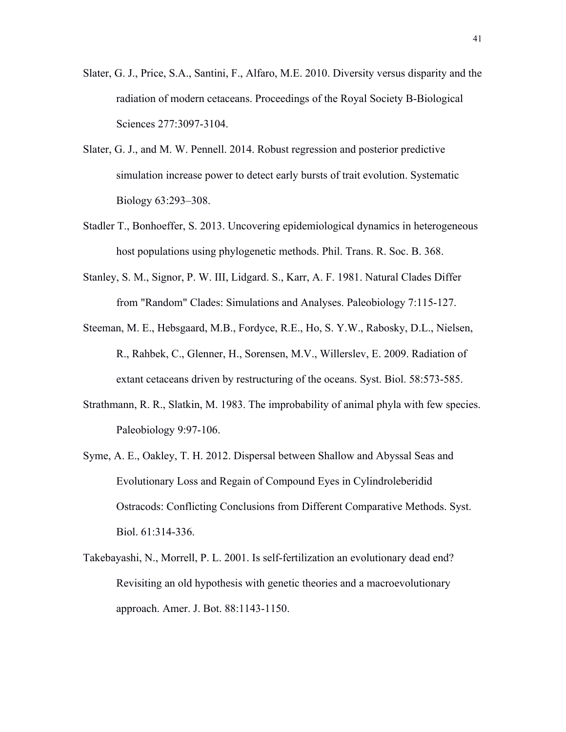- Slater, G. J., Price, S.A., Santini, F., Alfaro, M.E. 2010. Diversity versus disparity and the radiation of modern cetaceans. Proceedings of the Royal Society B-Biological Sciences 277:3097-3104.
- Slater, G. J., and M. W. Pennell. 2014. Robust regression and posterior predictive simulation increase power to detect early bursts of trait evolution. Systematic Biology 63:293–308.
- Stadler T., Bonhoeffer, S. 2013. Uncovering epidemiological dynamics in heterogeneous host populations using phylogenetic methods. Phil. Trans. R. Soc. B. 368.
- Stanley, S. M., Signor, P. W. III, Lidgard. S., Karr, A. F. 1981. Natural Clades Differ from "Random" Clades: Simulations and Analyses. Paleobiology 7:115-127.
- Steeman, M. E., Hebsgaard, M.B., Fordyce, R.E., Ho, S. Y.W., Rabosky, D.L., Nielsen, R., Rahbek, C., Glenner, H., Sorensen, M.V., Willerslev, E. 2009. Radiation of extant cetaceans driven by restructuring of the oceans. Syst. Biol. 58:573-585.
- Strathmann, R. R., Slatkin, M. 1983. The improbability of animal phyla with few species. Paleobiology 9:97-106.
- Syme, A. E., Oakley, T. H. 2012. Dispersal between Shallow and Abyssal Seas and Evolutionary Loss and Regain of Compound Eyes in Cylindroleberidid Ostracods: Conflicting Conclusions from Different Comparative Methods. Syst. Biol. 61:314-336.
- Takebayashi, N., Morrell, P. L. 2001. Is self-fertilization an evolutionary dead end? Revisiting an old hypothesis with genetic theories and a macroevolutionary approach. Amer. J. Bot. 88:1143-1150.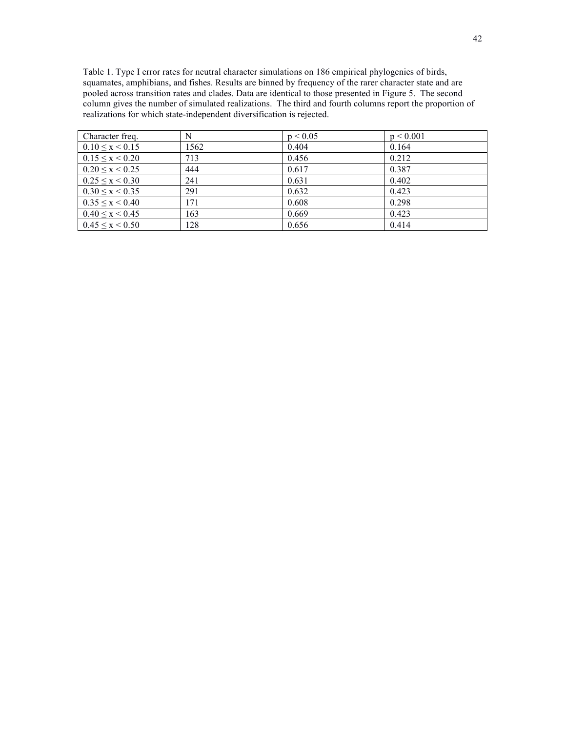Table 1. Type I error rates for neutral character simulations on 186 empirical phylogenies of birds, squamates, amphibians, and fishes. Results are binned by frequency of the rarer character state and are pooled across transition rates and clades. Data are identical to those presented in Figure 5. The second column gives the number of simulated realizations. The third and fourth columns report the proportion of realizations for which state-independent diversification is rejected.

| Character freq.         | N    | p < 0.05 | p < 0.001 |
|-------------------------|------|----------|-----------|
| $0.10 \le x \le 0.15$   | 1562 | 0.404    | 0.164     |
| $0.15 \leq x \leq 0.20$ | 713  | 0.456    | 0.212     |
| $0.20 \le x \le 0.25$   | 444  | 0.617    | 0.387     |
| $0.25 \le x \le 0.30$   | 241  | 0.631    | 0.402     |
| $0.30 \le x \le 0.35$   | 291  | 0.632    | 0.423     |
| $0.35 \le x \le 0.40$   | 171  | 0.608    | 0.298     |
| $0.40 \le x \le 0.45$   | 163  | 0.669    | 0.423     |
| $0.45 \le x \le 0.50$   | 128  | 0.656    | 0.414     |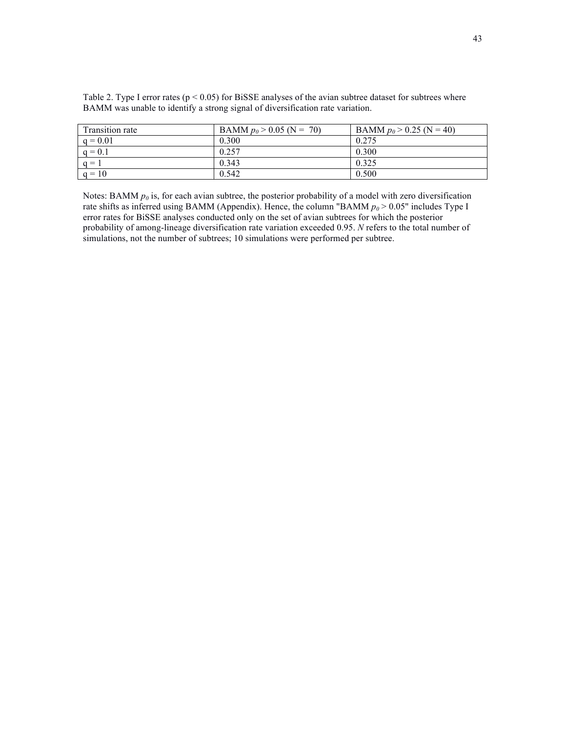| Transition rate | BAMM $p_0 > 0.05$ (N = 70) | BAMM $p_0 > 0.25$ (N = 40) |
|-----------------|----------------------------|----------------------------|
| $q = 0.01$      | 0.300                      | 0.275                      |
| $a = 0.1$       | 0.257                      | 0.300                      |
| $q =$           | 0.343                      | 0.325                      |
| $q = 10$        | 0.542                      | 0.500                      |

Table 2. Type I error rates ( $p < 0.05$ ) for BiSSE analyses of the avian subtree dataset for subtrees where BAMM was unable to identify a strong signal of diversification rate variation.

Notes: BAMM  $p<sub>0</sub>$  is, for each avian subtree, the posterior probability of a model with zero diversification rate shifts as inferred using BAMM (Appendix). Hence, the column "BAMM  $p_0$  > 0.05" includes Type I error rates for BiSSE analyses conducted only on the set of avian subtrees for which the posterior probability of among-lineage diversification rate variation exceeded 0.95. *N* refers to the total number of simulations, not the number of subtrees; 10 simulations were performed per subtree.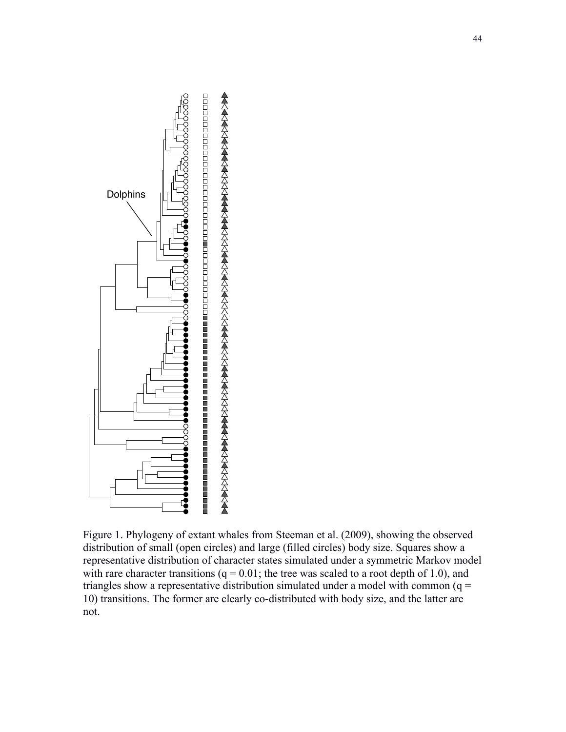

Figure 1. Phylogeny of extant whales from Steeman et al. (2009), showing the observed distribution of small (open circles) and large (filled circles) body size. Squares show a representative distribution of character states simulated under a symmetric Markov model with rare character transitions  $(q = 0.01)$ ; the tree was scaled to a root depth of 1.0), and triangles show a representative distribution simulated under a model with common  $(q =$ 10) transitions. The former are clearly co-distributed with body size, and the latter are not.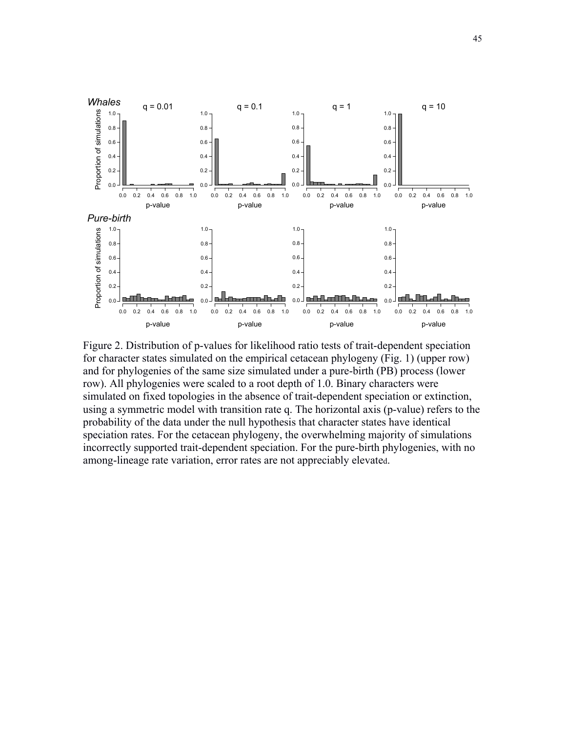

Figure 2. Distribution of p-values for likelihood ratio tests of trait-dependent speciation for character states simulated on the empirical cetacean phylogeny (Fig. 1) (upper row) and for phylogenies of the same size simulated under a pure-birth (PB) process (lower row). All phylogenies were scaled to a root depth of 1.0. Binary characters were simulated on fixed topologies in the absence of trait-dependent speciation or extinction, using a symmetric model with transition rate q. The horizontal axis (p-value) refers to the probability of the data under the null hypothesis that character states have identical speciation rates. For the cetacean phylogeny, the overwhelming majority of simulations incorrectly supported trait-dependent speciation. For the pure-birth phylogenies, with no among-lineage rate variation, error rates are not appreciably elevated.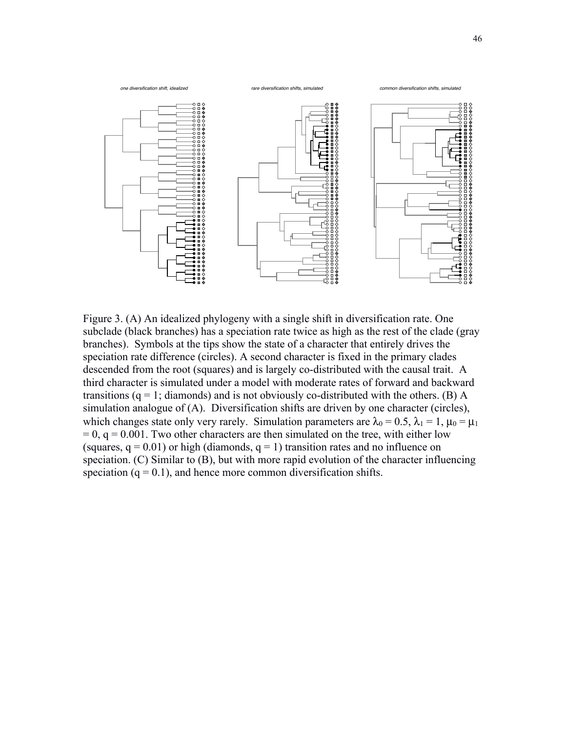

Figure 3. (A) An idealized phylogeny with a single shift in diversification rate. One subclade (black branches) has a speciation rate twice as high as the rest of the clade (gray branches). Symbols at the tips show the state of a character that entirely drives the speciation rate difference (circles). A second character is fixed in the primary clades descended from the root (squares) and is largely co-distributed with the causal trait. A third character is simulated under a model with moderate rates of forward and backward transitions ( $q = 1$ ; diamonds) and is not obviously co-distributed with the others. (B) A simulation analogue of (A). Diversification shifts are driven by one character (circles), which changes state only very rarely. Simulation parameters are  $\lambda_0 = 0.5$ ,  $\lambda_1 = 1$ ,  $\mu_0 = \mu_1$  $= 0$ ,  $q = 0.001$ . Two other characters are then simulated on the tree, with either low (squares,  $q = 0.01$ ) or high (diamonds,  $q = 1$ ) transition rates and no influence on speciation. (C) Similar to (B), but with more rapid evolution of the character influencing speciation  $(q = 0.1)$ , and hence more common diversification shifts.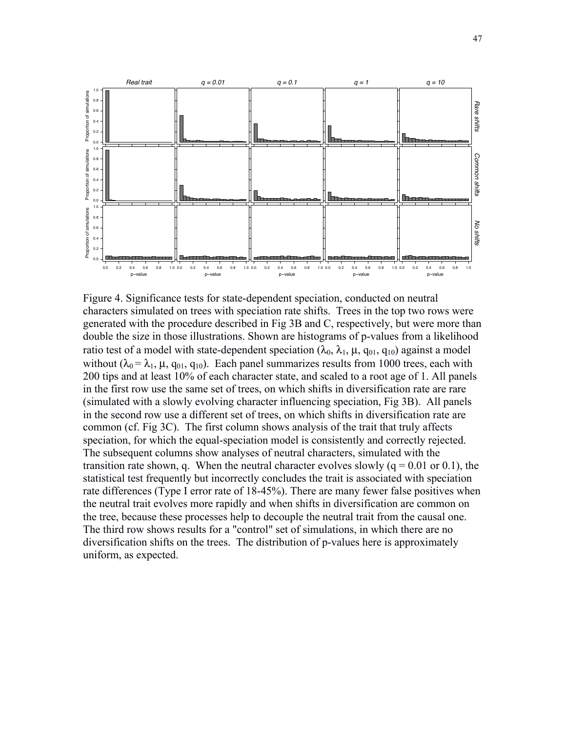

Figure 4. Significance tests for state-dependent speciation, conducted on neutral characters simulated on trees with speciation rate shifts. Trees in the top two rows were generated with the procedure described in Fig 3B and C, respectively, but were more than double the size in those illustrations. Shown are histograms of p-values from a likelihood ratio test of a model with state-dependent speciation  $(\lambda_0, \lambda_1, \mu, q_{01}, q_{10})$  against a model without ( $\lambda_0 = \lambda_1$ ,  $\mu$ ,  $q_{01}$ ,  $q_{10}$ ). Each panel summarizes results from 1000 trees, each with 200 tips and at least 10% of each character state, and scaled to a root age of 1. All panels in the first row use the same set of trees, on which shifts in diversification rate are rare (simulated with a slowly evolving character influencing speciation, Fig 3B). All panels in the second row use a different set of trees, on which shifts in diversification rate are common (cf. Fig 3C). The first column shows analysis of the trait that truly affects speciation, for which the equal-speciation model is consistently and correctly rejected. The subsequent columns show analyses of neutral characters, simulated with the transition rate shown, q. When the neutral character evolves slowly  $(q = 0.01 \text{ or } 0.1)$ , the statistical test frequently but incorrectly concludes the trait is associated with speciation rate differences (Type I error rate of 18-45%). There are many fewer false positives when the neutral trait evolves more rapidly and when shifts in diversification are common on the tree, because these processes help to decouple the neutral trait from the causal one. The third row shows results for a "control" set of simulations, in which there are no diversification shifts on the trees. The distribution of p-values here is approximately uniform, as expected.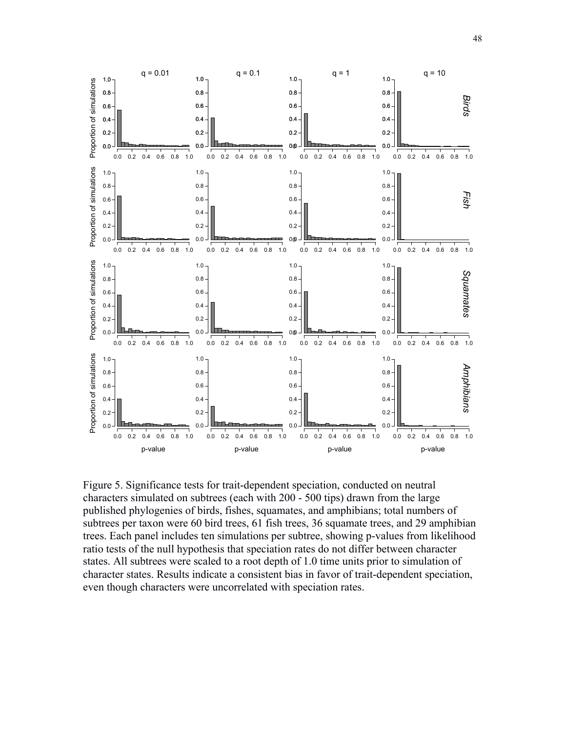

Figure 5. Significance tests for trait-dependent speciation, conducted on neutral characters simulated on subtrees (each with 200 - 500 tips) drawn from the large published phylogenies of birds, fishes, squamates, and amphibians; total numbers of subtrees per taxon were 60 bird trees, 61 fish trees, 36 squamate trees, and 29 amphibian trees. Each panel includes ten simulations per subtree, showing p-values from likelihood ratio tests of the null hypothesis that speciation rates do not differ between character states. All subtrees were scaled to a root depth of 1.0 time units prior to simulation of character states. Results indicate a consistent bias in favor of trait-dependent speciation, even though characters were uncorrelated with speciation rates.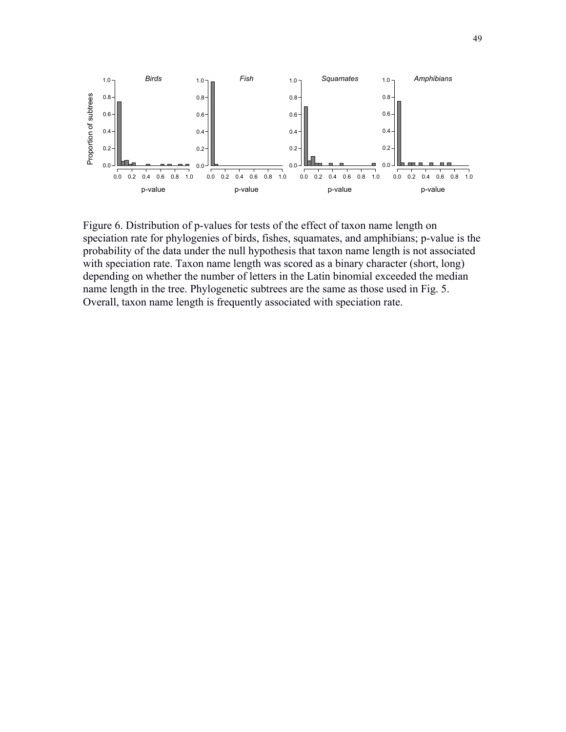

Figure 6. Distribution of p-values for tests of the effect of taxon name length on speciation rate for phylogenies of birds, fishes, squamates, and amphibians; p-value is the probability of the data under the null hypothesis that taxon name length is not associated with speciation rate. Taxon name length was scored as a binary character (short, long) depending on whether the number of letters in the Latin binomial exceeded the median name length in the tree. Phylogenetic subtrees are the same as those used in Fig. 5. Overall, taxon name length is frequently associated with speciation rate.